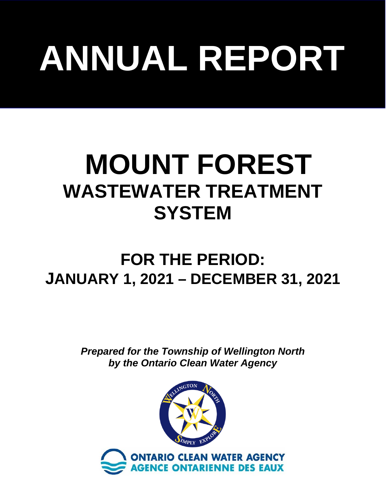# **ANNUAL REPORT**

# **MOUNT FOREST WASTEWATER TREATMENT SYSTEM**

# **FOR THE PERIOD: JANUARY 1, 2021 – DECEMBER 31, 2021**

*Prepared for the Township of Wellington North by the Ontario Clean Water Agency*

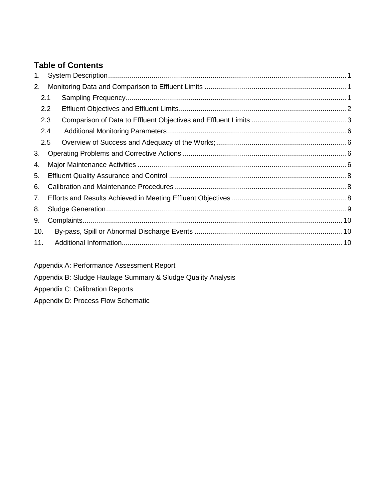#### **Table of Contents**

| 1.  |     |  |  |  |  |  |
|-----|-----|--|--|--|--|--|
| 2.  |     |  |  |  |  |  |
| 2.1 |     |  |  |  |  |  |
|     | 2.2 |  |  |  |  |  |
|     | 2.3 |  |  |  |  |  |
|     | 2.4 |  |  |  |  |  |
|     | 2.5 |  |  |  |  |  |
| 3.  |     |  |  |  |  |  |
| 4.  |     |  |  |  |  |  |
| 5.  |     |  |  |  |  |  |
| 6.  |     |  |  |  |  |  |
| 7.  |     |  |  |  |  |  |
| 8.  |     |  |  |  |  |  |
| 9.  |     |  |  |  |  |  |
| 10. |     |  |  |  |  |  |
| 11. |     |  |  |  |  |  |
|     |     |  |  |  |  |  |

Appendix A: Performance Assessment Report

Appendix B: Sludge Haulage Summary & Sludge Quality Analysis

Appendix C: Calibration Reports

Appendix D: Process Flow Schematic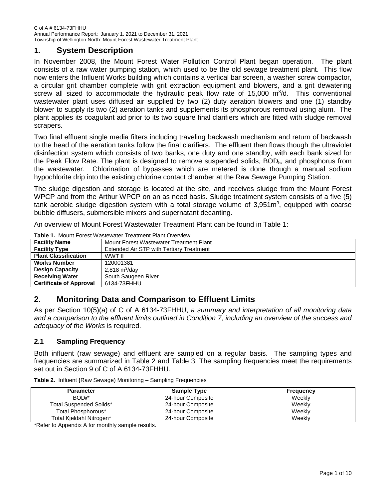#### <span id="page-2-0"></span>**1. System Description**

In November 2008, the Mount Forest Water Pollution Control Plant began operation. The plant consists of a raw water pumping station, which used to be the old sewage treatment plant. This flow now enters the Influent Works building which contains a vertical bar screen, a washer screw compactor, a circular grit chamber complete with grit extraction equipment and blowers, and a grit dewatering screw all sized to accommodate the hydraulic peak flow rate of 15,000 m<sup>3</sup>/d. This conventional wastewater plant uses diffused air supplied by two (2) duty aeration blowers and one (1) standby blower to supply its two (2) aeration tanks and supplements its phosphorous removal using alum. The plant applies its coagulant aid prior to its two square final clarifiers which are fitted with sludge removal scrapers.

Two final effluent single media filters including traveling backwash mechanism and return of backwash to the head of the aeration tanks follow the final clarifiers. The effluent then flows though the ultraviolet disinfection system which consists of two banks, one duty and one standby, with each bank sized for the Peak Flow Rate. The plant is designed to remove suspended solids,  $BOD<sub>5</sub>$ , and phosphorus from the wastewater. Chlorination of bypasses which are metered is done though a manual sodium hypochlorite drip into the existing chlorine contact chamber at the Raw Sewage Pumping Station.

The sludge digestion and storage is located at the site, and receives sludge from the Mount Forest WPCP and from the Arthur WPCP on an as need basis. Sludge treatment system consists of a five (5) tank aerobic sludge digestion system with a total storage volume of 3,951 $m^3$ , equipped with coarse bubble diffusers, submersible mixers and supernatant decanting.

An overview of Mount Forest Wastewater Treatment Plant can be found in [Table 1:](#page-2-3)

| $\overline{\mathbf{u}}$ . Those constructs the construct of the construction of the construction of the construction of the construction of the construction of the construction of the construction of the construction of the construct |                                                 |  |  |  |
|-------------------------------------------------------------------------------------------------------------------------------------------------------------------------------------------------------------------------------------------|-------------------------------------------------|--|--|--|
| <b>Facility Name</b>                                                                                                                                                                                                                      | Mount Forest Wastewater Treatment Plant         |  |  |  |
| <b>Facility Type</b>                                                                                                                                                                                                                      | <b>Extended Air STP with Tertiary Treatment</b> |  |  |  |
| <b>Plant Classification</b>                                                                                                                                                                                                               | WWT II                                          |  |  |  |
| <b>Works Number</b>                                                                                                                                                                                                                       | 120001381                                       |  |  |  |
| <b>Design Capacity</b>                                                                                                                                                                                                                    | 2,818 $m^3$ /day                                |  |  |  |
| <b>Receiving Water</b>                                                                                                                                                                                                                    | South Saugeen River                             |  |  |  |
| <b>Certificate of Approval</b>                                                                                                                                                                                                            | 6134-73FHHU                                     |  |  |  |

<span id="page-2-3"></span>**Table 1.** Mount Forest Wastewater Treatment Plant Overview

#### <span id="page-2-1"></span>**2. Monitoring Data and Comparison to Effluent Limits**

As per Section 10(5)(a) of C of A 6134-73FHHU, *a summary and interpretation of all monitoring data and a comparison to the effluent limits outlined in Condition 7, including an overview of the success and adequacy of the Works* is required.

#### <span id="page-2-2"></span>**2.1 Sampling Frequency**

Both influent (raw sewage) and effluent are sampled on a regular basis. The sampling types and frequencies are summarized in Table 2 and Table 3. The sampling frequencies meet the requirements set out in Section 9 of C of A 6134-73FHHU.

| <b>Parameter</b>               | <b>Sample Type</b> | <b>Frequency</b> |
|--------------------------------|--------------------|------------------|
| $BOD5*$                        | 24-hour Composite  | Weekly           |
| <b>Total Suspended Solids*</b> | 24-hour Composite  | Weekly           |
| Total Phosphorous*             | 24-hour Composite  | Weekly           |
| Total Kieldahl Nitrogen*       | 24-hour Composite  | Weekly           |

**Table 2.** Influent **(**Raw Sewage) Monitoring – Sampling Frequencies

\*Refer to Appendix A for monthly sample results.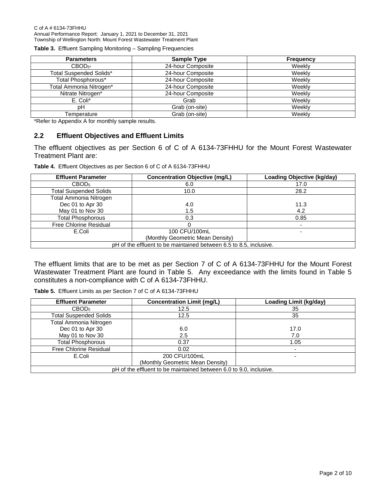**Table 3.** Effluent Sampling Monitoring – Sampling Frequencies

| <b>Parameters</b>              | <b>Sample Type</b> | <b>Frequency</b> |
|--------------------------------|--------------------|------------------|
| $CBOD_{5^*}$                   | 24-hour Composite  | Weekly           |
| <b>Total Suspended Solids*</b> | 24-hour Composite  | Weekly           |
| Total Phosphorous*             | 24-hour Composite  | Weekly           |
| Total Ammonia Nitrogen*        | 24-hour Composite  | Weekly           |
| Nitrate Nitrogen*              | 24-hour Composite  | Weekly           |
| E. Coli*                       | Grab               | Weekly           |
| pН                             | Grab (on-site)     | Weekly           |
| Temperature                    | Grab (on-site)     | Weekly           |

\*Refer to Appendix A for monthly sample results.

#### <span id="page-3-0"></span>**2.2 Effluent Objectives and Effluent Limits**

The effluent objectives as per Section 6 of C of A 6134-73FHHU for the Mount Forest Wastewater Treatment Plant are:

**Table 4.** Effluent Objectives as per Section 6 of C of A 6134-73FHHU

| <b>Effluent Parameter</b>                                          | <b>Concentration Objective (mg/L)</b> | Loading Objective (kg/day) |  |  |  |  |
|--------------------------------------------------------------------|---------------------------------------|----------------------------|--|--|--|--|
| CBOD <sub>5</sub>                                                  | 6.0                                   | 17.0                       |  |  |  |  |
| <b>Total Suspended Solids</b>                                      | 10.0                                  | 28.2                       |  |  |  |  |
| Total Ammonia Nitrogen                                             |                                       |                            |  |  |  |  |
| Dec 01 to Apr 30                                                   | 4.0                                   | 11.3                       |  |  |  |  |
| May 01 to Nov 30                                                   | 1.5                                   | 4.2                        |  |  |  |  |
| <b>Total Phosphorous</b>                                           | 0.3                                   | 0.85                       |  |  |  |  |
| Free Chlorine Residual                                             |                                       |                            |  |  |  |  |
| E.Coli                                                             | 100 CFU/100mL                         |                            |  |  |  |  |
| (Monthly Geometric Mean Density)                                   |                                       |                            |  |  |  |  |
| pH of the effluent to be maintained between 6.5 to 8.5, inclusive. |                                       |                            |  |  |  |  |

The effluent limits that are to be met as per Section 7 of C of A 6134-73FHHU for the Mount Forest Wastewater Treatment Plant are found in Table 5. Any exceedance with the limits found in Table 5 constitutes a non-compliance with C of A 6134-73FHHU.

<span id="page-3-1"></span>

| <b>Effluent Parameter</b>                                          | <b>Concentration Limit (mg/L)</b> | <b>Loading Limit (kg/day)</b> |  |  |  |
|--------------------------------------------------------------------|-----------------------------------|-------------------------------|--|--|--|
| CBOD <sub>5</sub>                                                  | 12.5                              | 35                            |  |  |  |
| <b>Total Suspended Solids</b>                                      | 12.5                              | 35                            |  |  |  |
| Total Ammonia Nitrogen                                             |                                   |                               |  |  |  |
| Dec 01 to Apr 30                                                   | 6.0                               | 17.0                          |  |  |  |
| May 01 to Nov 30                                                   | 2.5                               | 7.0                           |  |  |  |
| <b>Total Phosphorous</b>                                           | 0.37                              | 1.05                          |  |  |  |
| Free Chlorine Residual                                             | 0.02                              |                               |  |  |  |
| E.Coli                                                             | 200 CFU/100mL                     |                               |  |  |  |
|                                                                    |                                   |                               |  |  |  |
| pH of the effluent to be maintained between 6.0 to 9.0, inclusive. |                                   |                               |  |  |  |

**Table 5.** Effluent Limits as per Section 7 of C of A 6134-73FHHU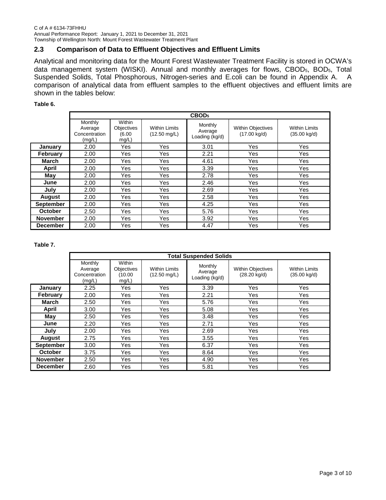#### **2.3 Comparison of Data to Effluent Objectives and Effluent Limits**

Analytical and monitoring data for the Mount Forest Wastewater Treatment Facility is stored in OCWA's data management system (WISKI). Annual and monthly averages for flows, CBOD<sub>5</sub>, BOD<sub>5</sub>, Total Suspended Solids, Total Phosphorous, Nitrogen-series and E.coli can be found in Appendix A. A comparison of analytical data from effluent samples to the effluent objectives and effluent limits are shown in the tables below:

#### **Table 6.**

|                  |                                               | CBOD <sub>5</sub>                             |                                                |                                      |                                                    |                                                |  |
|------------------|-----------------------------------------------|-----------------------------------------------|------------------------------------------------|--------------------------------------|----------------------------------------------------|------------------------------------------------|--|
|                  | Monthly<br>Average<br>Concentration<br>(mg/L) | Within<br><b>Objectives</b><br>(6.00<br>mg/L) | <b>Within Limits</b><br>$(12.50 \text{ mg/L})$ | Monthly<br>Average<br>Loading (kg/d) | <b>Within Objectives</b><br>$(17.00 \text{ kg/d})$ | <b>Within Limits</b><br>$(35.00 \text{ kg/d})$ |  |
| January          | 2.00                                          | Yes                                           | Yes                                            | 3.01                                 | Yes                                                | Yes                                            |  |
| February         | 2.00                                          | Yes                                           | Yes                                            | 2.21                                 | Yes                                                | Yes                                            |  |
| March            | 2.00                                          | Yes                                           | <b>Yes</b>                                     | 4.61                                 | Yes                                                | <b>Yes</b>                                     |  |
| April            | 2.00                                          | Yes                                           | Yes                                            | 3.39                                 | Yes                                                | <b>Yes</b>                                     |  |
| May              | 2.00                                          | Yes                                           | Yes                                            | 2.78                                 | Yes                                                | Yes                                            |  |
| June             | 2.00                                          | Yes                                           | Yes                                            | 2.46                                 | Yes                                                | Yes                                            |  |
| July             | 2.00                                          | Yes                                           | Yes                                            | 2.69                                 | Yes                                                | Yes                                            |  |
| August           | 2.00                                          | Yes                                           | Yes                                            | 2.58                                 | Yes                                                | <b>Yes</b>                                     |  |
| <b>September</b> | 2.00                                          | Yes                                           | Yes                                            | 4.25                                 | Yes                                                | Yes                                            |  |
| <b>October</b>   | 2.50                                          | Yes                                           | Yes                                            | 5.76                                 | Yes                                                | Yes                                            |  |
| <b>November</b>  | 2.00                                          | Yes                                           | Yes                                            | 3.92                                 | Yes                                                | Yes                                            |  |
| <b>December</b>  | 2.00                                          | Yes                                           | Yes                                            | 4.47                                 | Yes                                                | Yes                                            |  |

**Table 7.** 

|                  | <b>Total Suspended Solids</b>                 |                                         |                                                |                                      |                                                    |                                                |
|------------------|-----------------------------------------------|-----------------------------------------|------------------------------------------------|--------------------------------------|----------------------------------------------------|------------------------------------------------|
|                  | Monthly<br>Average<br>Concentration<br>(mg/L) | Within<br>Objectives<br>(10.00<br>mg/L) | <b>Within Limits</b><br>$(12.50 \text{ mg/L})$ | Monthly<br>Average<br>Loading (kg/d) | <b>Within Objectives</b><br>$(28.20 \text{ kg/d})$ | <b>Within Limits</b><br>$(35.00 \text{ kg/d})$ |
| Januarv          | 2.25                                          | Yes                                     | Yes                                            | 3.39                                 | Yes                                                | <b>Yes</b>                                     |
| <b>February</b>  | 2.00                                          | Yes                                     | Yes                                            | 2.21                                 | Yes                                                | Yes                                            |
| March            | 2.50                                          | Yes                                     | Yes                                            | 5.76                                 | Yes                                                | Yes                                            |
| April            | 3.00                                          | Yes                                     | Yes                                            | 5.08                                 | Yes                                                | Yes                                            |
| May              | 2.50                                          | Yes                                     | Yes                                            | 3.48                                 | Yes                                                | <b>Yes</b>                                     |
| June             | 2.20                                          | Yes                                     | Yes                                            | 2.71                                 | Yes                                                | Yes                                            |
| July             | 2.00                                          | Yes                                     | Yes                                            | 2.69                                 | Yes                                                | Yes                                            |
| <b>August</b>    | 2.75                                          | Yes                                     | <b>Yes</b>                                     | 3.55                                 | Yes                                                | Yes                                            |
| <b>September</b> | 3.00                                          | Yes                                     | Yes                                            | 6.37                                 | Yes                                                | <b>Yes</b>                                     |
| <b>October</b>   | 3.75                                          | Yes                                     | <b>Yes</b>                                     | 8.64                                 | Yes                                                | Yes                                            |
| <b>November</b>  | 2.50                                          | Yes                                     | Yes                                            | 4.90                                 | Yes                                                | Yes                                            |
| <b>December</b>  | 2.60                                          | Yes                                     | Yes                                            | 5.81                                 | Yes                                                | Yes                                            |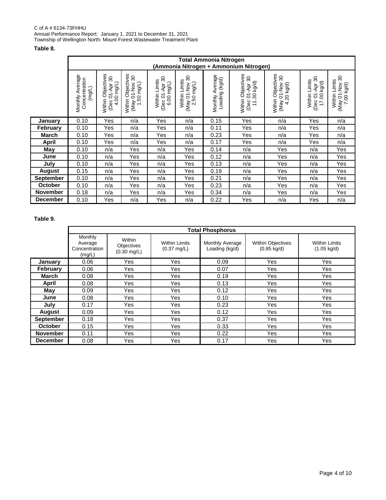#### C of A # 6134-73FHHU Annual Performance Report: January 1, 2021 to December 31, 2021 Township of Wellington North: Mount Forest Wastewater Treatment Plant

#### **Table 8.**

|                  |                                                   | <b>Total Ammonia Nitrogen</b><br>(Ammonia Nitrogen + Ammonium Nitrogen) |                                                                                  |                                                         |                                                                      |                                           |                                                                        |                                                                                     |                                                                      |                                                                       |
|------------------|---------------------------------------------------|-------------------------------------------------------------------------|----------------------------------------------------------------------------------|---------------------------------------------------------|----------------------------------------------------------------------|-------------------------------------------|------------------------------------------------------------------------|-------------------------------------------------------------------------------------|----------------------------------------------------------------------|-----------------------------------------------------------------------|
|                  | verage<br>Concentration<br>(mg/L)<br>⋖<br>Monthly | Objectives<br>01-Apr 30<br>(J/pu 00<br>Within<br>(Dec<br>₹              | Within Objectives<br>$\mathcal{S}^{\circ}$<br>50 mg/L)<br>Voll-10 Valv<br>$\div$ | 30<br>Limits<br>(Dec 01-Apr 3<br>6.00 mg/L)<br>Within I | $\boldsymbol{S}$<br>Limits<br>(May 01-Nov 3)<br>2.50 mg/L)<br>Within | Average<br>g (kg/d)<br>Loading<br>Monthly | Objectives<br>01-Apr 30<br>30 kg/d)<br>Within<br>(Dec<br>$\mathcal{L}$ | Objectives<br>$\mathcal{S}^{\mathcal{O}}$<br>01-Nov<br>4.20 kg/d)<br>Within<br>(May | $\mathcal{S}^{\circ}$<br>Within Limits<br>17.00 kg/d)<br>(Dec 01-Apr | $\mathcal{S}^{\circ}$<br>Within Limits<br>(May 01-Nov :<br>7.00 kg/d) |
| January          | 0.10                                              | Yes                                                                     | n/a                                                                              | Yes                                                     | n/a                                                                  | 0.15                                      | Yes                                                                    | n/a                                                                                 | Yes                                                                  | n/a                                                                   |
| <b>February</b>  | 0.10                                              | Yes                                                                     | n/a                                                                              | Yes                                                     | n/a                                                                  | 0.11                                      | Yes                                                                    | n/a                                                                                 | Yes                                                                  | n/a                                                                   |
| <b>March</b>     | 0.10                                              | Yes                                                                     | n/a                                                                              | Yes                                                     | n/a                                                                  | 0.23                                      | Yes                                                                    | n/a                                                                                 | Yes                                                                  | n/a                                                                   |
| April            | 0.10                                              | Yes                                                                     | n/a                                                                              | Yes                                                     | n/a                                                                  | 0.17                                      | Yes                                                                    | n/a                                                                                 | Yes                                                                  | n/a                                                                   |
| May              | 0.10                                              | n/a                                                                     | Yes                                                                              | n/a                                                     | Yes                                                                  | 0.14                                      | n/a                                                                    | Yes                                                                                 | n/a                                                                  | Yes                                                                   |
| June             | 0.10                                              | n/a                                                                     | Yes                                                                              | n/a                                                     | Yes                                                                  | 0.12                                      | n/a                                                                    | Yes                                                                                 | n/a                                                                  | Yes                                                                   |
| July             | 0.10                                              | n/a                                                                     | Yes                                                                              | n/a                                                     | Yes                                                                  | 0.13                                      | n/a                                                                    | Yes                                                                                 | n/a                                                                  | Yes                                                                   |
| <b>August</b>    | 0.15                                              | n/a                                                                     | Yes                                                                              | n/a                                                     | Yes                                                                  | 0.19                                      | n/a                                                                    | Yes                                                                                 | n/a                                                                  | Yes                                                                   |
| <b>September</b> | 0.10                                              | n/a                                                                     | Yes                                                                              | n/a                                                     | Yes                                                                  | 0.21                                      | n/a                                                                    | Yes                                                                                 | n/a                                                                  | Yes                                                                   |
| October          | 0.10                                              | n/a                                                                     | Yes                                                                              | n/a                                                     | Yes                                                                  | 0.23                                      | n/a                                                                    | Yes                                                                                 | n/a                                                                  | Yes                                                                   |
| <b>November</b>  | 0.18                                              | n/a                                                                     | Yes                                                                              | n/a                                                     | Yes                                                                  | 0.34                                      | n/a                                                                    | Yes                                                                                 | n/a                                                                  | Yes                                                                   |
| <b>December</b>  | 0.10                                              | Yes                                                                     | n/a                                                                              | Yes                                                     | n/a                                                                  | 0.22                                      | Yes                                                                    | n/a                                                                                 | Yes                                                                  | n/a                                                                   |

#### **Table 9.**

|                  |                                               | <b>Total Phosphorus</b>                       |                                               |                                   |                                                   |                                               |  |
|------------------|-----------------------------------------------|-----------------------------------------------|-----------------------------------------------|-----------------------------------|---------------------------------------------------|-----------------------------------------------|--|
|                  | Monthly<br>Average<br>Concentration<br>(mg/L) | Within<br>Objectives<br>$(0.30 \text{ mg/L})$ | <b>Within Limits</b><br>$(0.37 \text{ mg/L})$ | Monthly Average<br>Loading (kg/d) | <b>Within Objectives</b><br>$(0.85 \text{ kg/d})$ | <b>Within Limits</b><br>$(1.05 \text{ kg/d})$ |  |
| January          | 0.06                                          | <b>Yes</b>                                    | Yes                                           | 0.09                              | Yes                                               | <b>Yes</b>                                    |  |
| <b>February</b>  | 0.06                                          | Yes                                           | Yes                                           | 0.07                              | Yes                                               | Yes                                           |  |
| March            | 0.08                                          | Yes                                           | <b>Yes</b>                                    | 0.19                              | Yes                                               | Yes                                           |  |
| April            | 0.08                                          | <b>Yes</b>                                    | Yes                                           | 0.13                              | <b>Yes</b>                                        | <b>Yes</b>                                    |  |
| May              | 0.09                                          | <b>Yes</b>                                    | <b>Yes</b>                                    | 0.12                              | <b>Yes</b>                                        | Yes                                           |  |
| June             | 0.08                                          | Yes                                           | Yes                                           | 0.10                              | Yes                                               | Yes                                           |  |
| July             | 0.17                                          | Yes                                           | <b>Yes</b>                                    | 0.23                              | Yes                                               | Yes                                           |  |
| August           | 0.09                                          | Yes                                           | Yes                                           | 0.12                              | Yes                                               | <b>Yes</b>                                    |  |
| <b>September</b> | 0.18                                          | <b>Yes</b>                                    | Yes                                           | 0.37                              | Yes                                               | Yes                                           |  |
| <b>October</b>   | 0.15                                          | Yes                                           | <b>Yes</b>                                    | 0.33                              | Yes                                               | Yes                                           |  |
| <b>November</b>  | 0.11                                          | Yes                                           | <b>Yes</b>                                    | 0.22                              | Yes                                               | Yes                                           |  |
| <b>December</b>  | 0.08                                          | Yes                                           | <b>Yes</b>                                    | 0.17                              | Yes                                               | Yes                                           |  |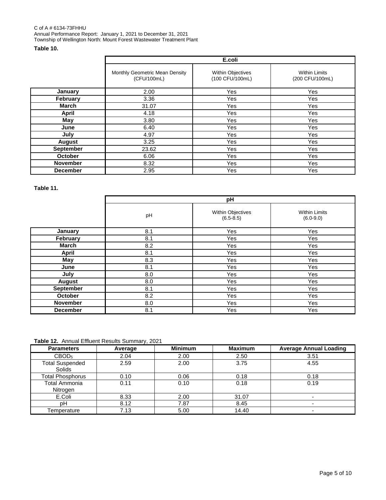#### **Table 10.**

|                 | E.coli                                        |                                             |                                         |  |  |  |
|-----------------|-----------------------------------------------|---------------------------------------------|-----------------------------------------|--|--|--|
|                 | Monthly Geometric Mean Density<br>(CFU/100mL) | <b>Within Objectives</b><br>(100 CFU/100mL) | <b>Within Limits</b><br>(200 CFU/100mL) |  |  |  |
| January         | 2.00                                          | <b>Yes</b>                                  | Yes                                     |  |  |  |
| <b>February</b> | 3.36                                          | Yes                                         | Yes                                     |  |  |  |
| <b>March</b>    | 31.07                                         | <b>Yes</b>                                  | Yes                                     |  |  |  |
| <b>April</b>    | 4.18                                          | <b>Yes</b>                                  | Yes                                     |  |  |  |
| May             | 3.80                                          | Yes                                         | Yes                                     |  |  |  |
| June            | 6.40                                          | Yes                                         | Yes                                     |  |  |  |
| July            | 4.97                                          | Yes                                         | Yes                                     |  |  |  |
| <b>August</b>   | 3.25                                          | <b>Yes</b>                                  | Yes                                     |  |  |  |
| September       | 23.62                                         | <b>Yes</b>                                  | Yes                                     |  |  |  |
| <b>October</b>  | 6.06                                          | Yes                                         | Yes                                     |  |  |  |
| <b>November</b> | 8.32                                          | <b>Yes</b>                                  | <b>Yes</b>                              |  |  |  |
| <b>December</b> | 2.95                                          | <b>Yes</b>                                  | Yes                                     |  |  |  |

**Table 11.**

|                  | pH  |                                    |                                       |  |  |  |
|------------------|-----|------------------------------------|---------------------------------------|--|--|--|
|                  | pH  | Within Objectives<br>$(6.5 - 8.5)$ | <b>Within Limits</b><br>$(6.0 - 9.0)$ |  |  |  |
| January          | 8.1 | Yes                                | Yes                                   |  |  |  |
| February         | 8.1 | Yes                                | Yes                                   |  |  |  |
| <b>March</b>     | 8.2 | Yes                                | Yes                                   |  |  |  |
| <b>April</b>     | 8.1 | Yes                                | Yes                                   |  |  |  |
| May              | 8.3 | <b>Yes</b>                         | Yes                                   |  |  |  |
| June             | 8.1 | Yes                                | Yes                                   |  |  |  |
| July             | 8.0 | Yes                                | <b>Yes</b>                            |  |  |  |
| <b>August</b>    | 8.0 | Yes                                | Yes                                   |  |  |  |
| <b>September</b> | 8.1 | Yes                                | Yes                                   |  |  |  |
| October          | 8.2 | Yes                                | Yes                                   |  |  |  |
| <b>November</b>  | 8.0 | Yes                                | Yes                                   |  |  |  |
| <b>December</b>  | 8.1 | Yes                                | Yes                                   |  |  |  |

**Table 12.** Annual Effluent Results Summary, 2021

| <b>Parameters</b>                | Average | <b>Minimum</b> | <b>Maximum</b> | <b>Average Annual Loading</b> |
|----------------------------------|---------|----------------|----------------|-------------------------------|
| CBOD <sub>5</sub>                | 2.04    | 2.00           | 2.50           | 3.51                          |
| <b>Total Suspended</b><br>Solids | 2.59    | 2.00           | 3.75           | 4.55                          |
| <b>Total Phosphorus</b>          | 0.10    | 0.06           | 0.18           | 0.18                          |
| <b>Total Ammonia</b><br>Nitrogen | 0.11    | 0.10           | 0.18           | 0.19                          |
| E.Coli                           | 8.33    | 2.00           | 31.07          |                               |
| рH                               | 8.12    | 7.87           | 8.45           |                               |
| Temperature                      | 7.13    | 5.00           | 14.40          |                               |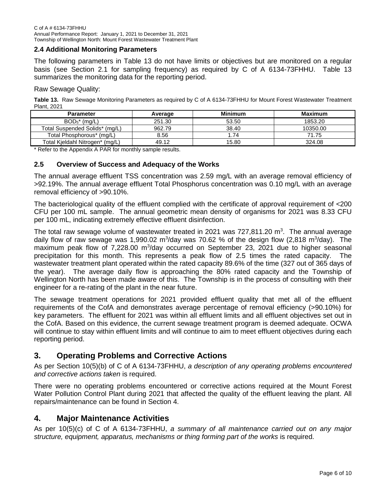#### <span id="page-7-0"></span>**2.4 Additional Monitoring Parameters**

The following parameters in Table 13 do not have limits or objectives but are monitored on a regular basis (see Section 2.1 for sampling frequency) as required by C of A 6134-73FHHU. Table 13 summarizes the monitoring data for the reporting period.

Raw Sewage Quality:

**Table 13.** Raw Sewage Monitoring Parameters as required by C of A 6134-73FHHU for Mount Forest Wastewater Treatment Plant, 2021

| <b>Parameter</b>                | Average | <b>Minimum</b> | <b>Maximum</b> |
|---------------------------------|---------|----------------|----------------|
| $BOD5*$ (mg/L)                  | 251.30  | 53.50          | 1853.20        |
| Total Suspended Solids* (mg/L)  | 962.79  | 38.40          | 10350.00       |
| Total Phosphorous* (mg/L)       | 8.56    | 1.74           | 71.75          |
| Total Kjeldahl Nitrogen* (mg/L) | 49.12   | 15.80          | 324.08         |

\* Refer to the Appendix A PAR for monthly sample results.

#### <span id="page-7-1"></span>**2.5 Overview of Success and Adequacy of the Works**

The annual average effluent TSS concentration was 2.59 mg/L with an average removal efficiency of >92.19%. The annual average effluent Total Phosphorus concentration was 0.10 mg/L with an average removal efficiency of >90.10%.

The bacteriological quality of the effluent complied with the certificate of approval requirement of <200 CFU per 100 mL sample. The annual geometric mean density of organisms for 2021 was 8.33 CFU per 100 mL, indicating extremely effective effluent disinfection.

The total raw sewage volume of wastewater treated in 2021 was 727,811.20  $\text{m}^3$ . The annual average daily flow of raw sewage was 1,990.02 m<sup>3</sup>/day was 70.62 % of the design flow (2,818 m<sup>3</sup>/day). The maximum peak flow of 7,228.00 m<sup>3</sup>/day occurred on September 23, 2021 due to higher seasonal precipitation for this month. This represents a peak flow of 2.5 times the rated capacity. The wastewater treatment plant operated within the rated capacity 89.6% of the time (327 out of 365 days of the year). The average daily flow is approaching the 80% rated capacity and the Township of Wellington North has been made aware of this. The Township is in the process of consulting with their engineer for a re-rating of the plant in the near future.

<span id="page-7-2"></span>The sewage treatment operations for 2021 provided effluent quality that met all of the effluent requirements of the CofA and demonstrates average percentage of removal efficiency (>90.10%) for key parameters. The effluent for 2021 was within all effluent limits and all effluent objectives set out in the CofA. Based on this evidence, the current sewage treatment program is deemed adequate. OCWA will continue to stay within effluent limits and will continue to aim to meet effluent objectives during each reporting period.

#### **3. Operating Problems and Corrective Actions**

As per Section 10(5)(b) of C of A 6134-73FHHU, *a description of any operating problems encountered and corrective actions taken* is required.

There were no operating problems encountered or corrective actions required at the Mount Forest Water Pollution Control Plant during 2021 that affected the quality of the effluent leaving the plant. All repairs/maintenance can be found in Section 4.

#### <span id="page-7-3"></span>**4. Major Maintenance Activities**

As per 10(5)(c) of C of A 6134-73FHHU, *a summary of all maintenance carried out on any major structure, equipment, apparatus, mechanisms or thing forming part of the works* is required.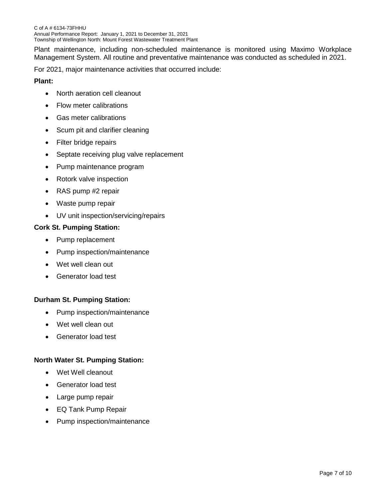Plant maintenance, including non-scheduled maintenance is monitored using Maximo Workplace Management System. All routine and preventative maintenance was conducted as scheduled in 2021.

For 2021, major maintenance activities that occurred include:

#### **Plant:**

- North aeration cell cleanout
- Flow meter calibrations
- Gas meter calibrations
- Scum pit and clarifier cleaning
- Filter bridge repairs
- Septate receiving plug valve replacement
- Pump maintenance program
- Rotork valve inspection
- RAS pump #2 repair
- Waste pump repair
- UV unit inspection/servicing/repairs

#### **Cork St. Pumping Station:**

- Pump replacement
- Pump inspection/maintenance
- Wet well clean out
- Generator load test

#### **Durham St. Pumping Station:**

- Pump inspection/maintenance
- Wet well clean out
- Generator load test

#### **North Water St. Pumping Station:**

- Wet Well cleanout
- Generator load test
- Large pump repair
- EQ Tank Pump Repair
- Pump inspection/maintenance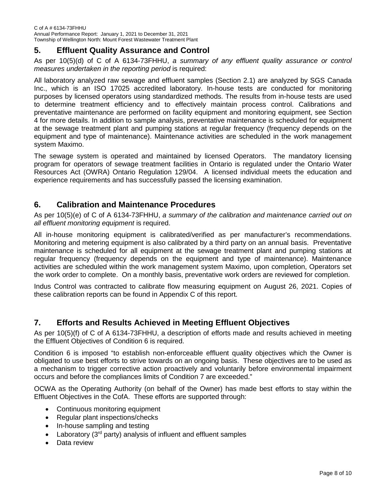#### <span id="page-9-0"></span>**5. Effluent Quality Assurance and Control**

As per 10(5)(d) of C of A 6134-73FHHU, *a summary of any effluent quality assurance or control measures undertaken in the reporting period* is required:

All laboratory analyzed raw sewage and effluent samples (Section 2.1) are analyzed by SGS Canada Inc., which is an ISO 17025 accredited laboratory. In-house tests are conducted for monitoring purposes by licensed operators using standardized methods. The results from in-house tests are used to determine treatment efficiency and to effectively maintain process control. Calibrations and preventative maintenance are performed on facility equipment and monitoring equipment, see Section 4 for more details. In addition to sample analysis, preventative maintenance is scheduled for equipment at the sewage treatment plant and pumping stations at regular frequency (frequency depends on the equipment and type of maintenance). Maintenance activities are scheduled in the work management system Maximo.

The sewage system is operated and maintained by licensed Operators. The mandatory licensing program for operators of sewage treatment facilities in Ontario is regulated under the Ontario Water Resources Act (OWRA) Ontario Regulation 129/04. A licensed individual meets the education and experience requirements and has successfully passed the licensing examination.

#### <span id="page-9-1"></span>**6. Calibration and Maintenance Procedures**

As per 10(5)(e) of C of A 6134-73FHHU, *a summary of the calibration and maintenance carried out on all effluent monitoring equipment* is required.

All in-house monitoring equipment is calibrated/verified as per manufacturer's recommendations. Monitoring and metering equipment is also calibrated by a third party on an annual basis. Preventative maintenance is scheduled for all equipment at the sewage treatment plant and pumping stations at regular frequency (frequency depends on the equipment and type of maintenance). Maintenance activities are scheduled within the work management system Maximo, upon completion, Operators set the work order to complete. On a monthly basis, preventative work orders are reviewed for completion.

Indus Control was contracted to calibrate flow measuring equipment on August 26, 2021. Copies of these calibration reports can be found in Appendix C of this report.

#### <span id="page-9-2"></span>**7. Efforts and Results Achieved in Meeting Effluent Objectives**

As per 10(5)(f) of C of A 6134-73FHHU, a description of efforts made and results achieved in meeting the Effluent Objectives of Condition 6 is required.

Condition 6 is imposed "to establish non-enforceable effluent quality objectives which the Owner is obligated to use best efforts to strive towards on an ongoing basis. These objectives are to be used as a mechanism to trigger corrective action proactively and voluntarily before environmental impairment occurs and before the compliances limits of Condition 7 are exceeded."

OCWA as the Operating Authority (on behalf of the Owner) has made best efforts to stay within the Effluent Objectives in the CofA. These efforts are supported through:

- Continuous monitoring equipment
- Regular plant inspections/checks
- In-house sampling and testing
- Laboratory  $(3<sup>rd</sup>$  party) analysis of influent and effluent samples
- Data review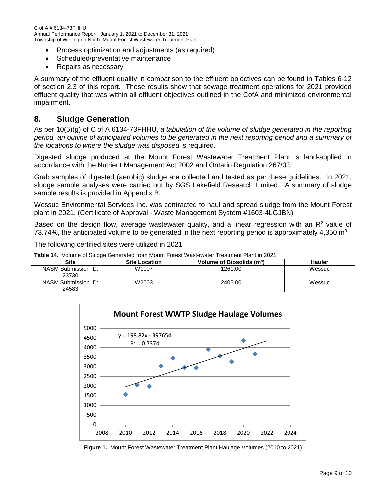C of A # 6134-73FHHU Annual Performance Report: January 1, 2021 to December 31, 2021 Township of Wellington North: Mount Forest Wastewater Treatment Plant

- Process optimization and adjustments (as required)
- Scheduled/preventative maintenance
- Repairs as necessary

A summary of the effluent quality in comparison to the effluent objectives can be found in Tables 6-12 of section 2.3 of this report. These results show that sewage treatment operations for 2021 provided effluent quality that was within all effluent objectives outlined in the CofA and minimized environmental impairment.

#### <span id="page-10-0"></span>**8. Sludge Generation**

As per 10(5)(g) of C of A 6134-73FHHU, *a tabulation of the volume of sludge generated in the reporting period, an outline of anticipated volumes to be generated in the next reporting period and a summary of the locations to where the sludge was disposed* is required*.*

Digested sludge produced at the Mount Forest Wastewater Treatment Plant is land-applied in accordance with the Nutrient Management Act 2002 and Ontario Regulation 267/03.

Grab samples of digested (aerobic) sludge are collected and tested as per these guidelines. In 2021, sludge sample analyses were carried out by SGS Lakefield Research Limited. A summary of sludge sample results is provided in Appendix B.

Wessuc Environmental Services Inc. was contracted to haul and spread sludge from the Mount Forest plant in 2021. (Certificate of Approval - Waste Management System #1603-4LGJBN)

Based on the design flow, average wastewater quality, and a linear regression with an  $\mathsf{R}^2$  value of 73.74%, the anticipated volume to be generated in the next reporting period is approximately 4,350 m<sup>3</sup>.

The following certified sites were utilized in 2021

**Table 14.** Volume of Sludge Generated from Mount Forest Wastewater Treatment Plant in 2021

| Site                         | <b>Site Location</b> | Volume of Biosolids (m <sup>3</sup> ) | Hauler |
|------------------------------|----------------------|---------------------------------------|--------|
| NASM Submission ID:<br>23730 | W1007                | 1261.00                               | Wessuc |
| NASM Submission ID:<br>24583 | W2003                | 2405.00                               | Wessuc |



**Figure 1.** Mount Forest Wastewater Treatment Plant Haulage Volumes (2010 to 2021)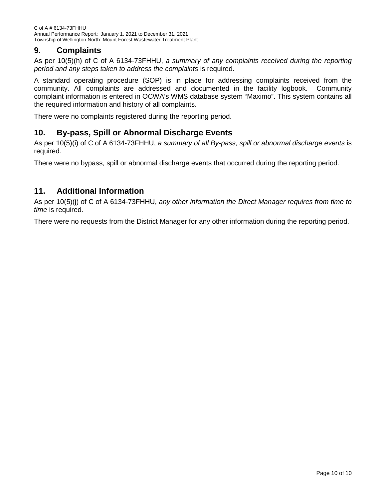#### <span id="page-11-0"></span>**9. Complaints**

As per 10(5)(h) of C of A 6134-73FHHU, *a summary of any complaints received during the reporting period and any steps taken to address the complaints* is required.

A standard operating procedure (SOP) is in place for addressing complaints received from the community. All complaints are addressed and documented in the facility logbook. Community complaint information is entered in OCWA's WMS database system "Maximo". This system contains all the required information and history of all complaints.

There were no complaints registered during the reporting period.

#### <span id="page-11-1"></span>**10. By-pass, Spill or Abnormal Discharge Events**

As per 10(5)(i) of C of A 6134-73FHHU, *a summary of all By-pass, spill or abnormal discharge events* is required.

There were no bypass, spill or abnormal discharge events that occurred during the reporting period.

#### <span id="page-11-2"></span>**11. Additional Information**

As per 10(5)(j) of C of A 6134-73FHHU, *any other information the Direct Manager requires from time to time* is required.

There were no requests from the District Manager for any other information during the reporting period.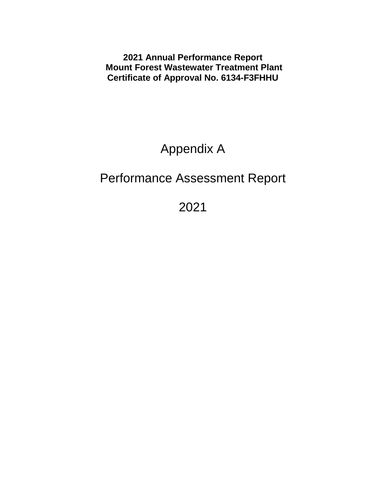**2021 Annual Performance Report Mount Forest Wastewater Treatment Plant Certificate of Approval No. 6134-F3FHHU**

# Appendix A

## Performance Assessment Report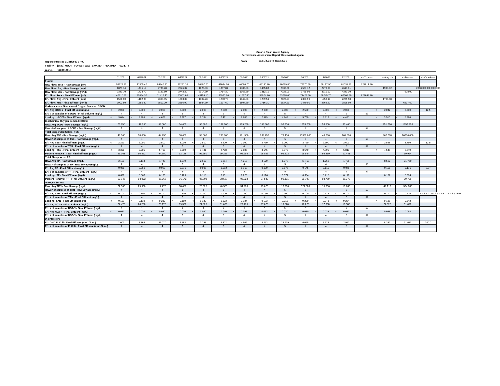#### **Ontario Clean Water Agency Performance Assessment Report Wastewater/Lagoon**

#### **Report extracted 01/31/2022 17:00 From:**

#### **01/01/2021 to 31/12/2021**

| Facility: [5541] MOUNT FOREST WASTEWATER TREATMENT FACILITY |
|-------------------------------------------------------------|
| Works: [120001381]                                          |

|                                                           | 01/2021                | 02/2021                | 03/2021                | 04/2021    | 05/2021                | 06/2021  | 07/2021                | 08/2021                | 09/2021        | 10/2021                | 11/2021                | 12/2021        | <--Total--> | $\leftarrow$ -Avg.--> | <--Max --> | <--Criteria-->                                   |
|-----------------------------------------------------------|------------------------|------------------------|------------------------|------------|------------------------|----------|------------------------|------------------------|----------------|------------------------|------------------------|----------------|-------------|-----------------------|------------|--------------------------------------------------|
| Flows:                                                    |                        |                        |                        |            |                        |          |                        |                        |                |                        |                        |                |             |                       |            |                                                  |
| Raw Flow: Total - Raw Sewage (m <sup>3</sup> )            | 58222.30               | 41305.40               | 84840.30               | 62291.10   | 50407.00               | 41034.20 | 46060.70               | 45130.70               | 70099.80       | 79270.60               | 68117.90               | 81031.20       | 727811.20   |                       |            |                                                  |
| Raw Flow: Avg - Raw Sewage (m3/d)                         | 1878.14                | 1475.19                | 2736.78                | 2076.37    | 1626.03                | 1367.81  | 1485.83                | 1455.83                | 2336.66        | 2557.12                | 2270.60                | 2613.91        |             | 1990.02               |            | 2818.0000000000005                               |
| Raw Flow: Max - Raw Sewage (m <sup>3</sup> /d)            | 2343.70                | 1724.70                | 6129.80                | 2743.20    | 2014.30                | 1714.30  | 1968.50                | 1812.10                | 7228.00        | 3789.00                | 3210.10                | 4341.30        |             |                       | 7228.00    |                                                  |
| Eff. Flow: Total - Final Effluent (m <sup>3</sup> )       | 46710.90               | 30864.30               | 71419.40               | 50801.60   | 43159.10               | 36920.90 | 41627.60               | 39974.70               | 63698.00       | 71423.60               | 58745.70               | 69302.90       | 624648.70   |                       |            |                                                  |
| Eff. Flow: Avg - Final Effluent (m <sup>3</sup> /d)       | 1506.80                | 1102.30                | 2303.85                | 1693.39    | 1392.23                | 1230.70  | 1342.83                | 1289.51                | 2123.27        | 2303.99                | 1958.19                | 2235.58        |             | 1706.88               |            |                                                  |
| Eff. Flow: Max - Final Effluent (m <sup>3</sup> /d)       | 1902.80                | 1355.40                | 5817.00                | 2256.90    | 1934.50                | 1617.60  | 1804.80                | 1716.30                | 6837.60        | 3470.00                | 2862.20                | 3898.50        |             |                       | 6837.60    |                                                  |
| Carbonaceous Biochemical Oxygen Demand: CBOD:             |                        |                        |                        |            |                        |          |                        |                        |                |                        |                        |                |             |                       |            |                                                  |
| Eff: Avg cBOD5 - Final Effluent (mg/L)                    | 2.000                  | 2.000                  | 2.000                  | 2.000      | 2.000                  | 2.000    | 2.000                  | 2.000                  | 2.000          | 2.500                  | 2.000                  | 2,000          |             | 2.042                 | 2.500      | 12.5                                             |
| Eff: # of samples of cBOD5 - Final Effluent (mg/L)        |                        | $\overline{4}$         | $\overline{4}$         | -5         | $\overline{4}$         | 5        | $\boldsymbol{\Lambda}$ | $\boldsymbol{\Lambda}$ | 5              | $\boldsymbol{\Lambda}$ | $\overline{4}$         | -5             | 52          |                       |            |                                                  |
| Loading: cBOD5 - Final Effluent (kg/d)                    | 3.014                  | 2.205                  | 4.608                  | 3.387      | 2.784                  | 2.461    | 2.686                  | 2.579                  | 4.247          | 5.760                  | 3.916                  | 4.471          |             | 3.510                 | 5.760      |                                                  |
| Biochemical Oxygen Demand: BOD5:                          |                        |                        |                        |            |                        |          |                        |                        |                |                        |                        |                |             |                       |            |                                                  |
| Raw: Avg BOD5 - Raw Sewage (mg/L)                         | 75.750                 | 116.250                | 59,000                 | 54,400     | 96,500                 | 192.600  | 169.250                | 153.500                | 96.200         | 1853.200               | 53,500                 | 95,400         |             | 251.296               | 1853.200   |                                                  |
| Raw: # of samples of BOD5 - Raw Sewage (mg/L)             | $\boldsymbol{\Lambda}$ | $\overline{4}$         | $\overline{4}$         | $\sqrt{2}$ | $\overline{4}$         | 5        | $\overline{4}$         | $\overline{4}$         | - 5            | -5                     | $\overline{4}$         | -5             | 53          |                       |            |                                                  |
| <b>Total Suspended Solids: TSS:</b>                       |                        |                        |                        |            |                        |          |                        |                        |                |                        |                        |                |             |                       |            |                                                  |
| Raw: Avg TSS - Raw Sewage (mg/L)                          | 48,500                 | 58,000                 | 44.250                 | 38,400     | 58.000                 | 295,800  | 191,500                | 239.750                | 79,400         | 10350.000              | 48.250                 | 101.600        |             | 962.788               | 10350.000  |                                                  |
| Raw: # of samples of TSS - Raw Sewage (mg/L)              |                        | $\overline{4}$         | $\overline{4}$         | $\sqrt{5}$ | $\overline{4}$         | -5       | $\overline{4}$         | $\sim$                 | 5              | -5                     | $\overline{4}$         | 5 <sub>5</sub> | 53          |                       |            |                                                  |
| Eff: Avg TSS - Final Effluent (mg/L)                      | 2.250                  | 2.000                  | 2.500                  | 3.000      | 2,500                  | 2.200    | 2.000                  | 2.750                  | 3.000          | 3.750                  | 2,500                  | 2,600          |             | 2.588                 | 3.750      | 12.5                                             |
| Eff: # of samples of TSS - Final Effluent (mg/L)          |                        | $\overline{4}$         | $\boldsymbol{\Lambda}$ | -5         | $\overline{4}$         | 5        | $\boldsymbol{\Lambda}$ | $\boldsymbol{\Lambda}$ | 5              | $\boldsymbol{\Lambda}$ | $\overline{4}$         | 5 <sub>5</sub> | 52          |                       |            |                                                  |
| Loading: TSS - Final Effluent (kg/d)                      | 3,390                  | 2.205                  | 5.760                  | 5.080      | 3.481                  | 2.708    | 2.686                  | 3.546                  | 6.370          | 8.640                  | 4.895                  | 5.813          |             | 4.548                 | 8.640      |                                                  |
| Percent Removal: TSS - Final Effluent (mg/L)              | 95.361                 | 96.552                 | 94,350                 | 92.188     | 95,690                 | 99.256   | 98,956                 | 98,853                 | 96.222         | 99.964                 | 94.819                 | 97.441         |             |                       | 99.964     |                                                  |
| <b>Total Phosphorus: TP:</b>                              |                        |                        |                        |            |                        |          |                        |                        |                |                        |                        |                |             |                       |            |                                                  |
| Raw: Avg TP - Raw Sewage (mg/L)                           | 2.103                  | 3.113                  | 1.743                  | 1.970      | 2.662                  | 5.684    | 4.213                  | 4.170                  | 1,778          | 71,750                 | 1.763                  | 1.798          |             | 8.562                 | 71.750     |                                                  |
| Raw: # of samples of TP - Raw Sewage (mg/L)               |                        | $\boldsymbol{\Lambda}$ | $\overline{4}$         | -5         | $\overline{4}$         | -5       | $\overline{4}$         | $\boldsymbol{\Lambda}$ | -5             | -5                     | $\boldsymbol{\Lambda}$ | -5             | 53          |                       |            |                                                  |
| Eff: Avg TP - Final Effluent (mg/L)                       | 0.060                  | 0.060                  | 0.083                  | 0.076      | 0.085                  | 0.082    | 0.168                  | 0.090                  | 0.176          | 0.145                  | 0.110                  | 0.076          |             | 0.101                 | 0.176      | 0.37                                             |
| Eff: # of samples of TP - Final Effluent (mg/L)           |                        | $\boldsymbol{\Lambda}$ | $\boldsymbol{\Lambda}$ | -5         | $\overline{4}$         | - 5      | $\boldsymbol{\Lambda}$ | $\boldsymbol{\Lambda}$ | 5              | $\boldsymbol{\Lambda}$ | $\boldsymbol{\Lambda}$ | -5             | 52          |                       |            |                                                  |
| Loading: TP - Final Effluent (kg/d)                       | 0.090                  | 0.066                  | 0.190                  | 0.129      | 0.118                  | 0.101    | 0.225                  | 0.116                  | 0.374          | 0.334                  | 0.215                  | 0.170          |             | 0.177                 | 0.374      |                                                  |
| Percent Removal: TP - Final Effluent (mg/L)               | 97.146                 | 98.072                 | 95.265                 | 96.142     | 96.808                 | 98,557   | 96.024                 | 97.842                 | 90.101         | 99.798                 | 93.759                 | 95.773         |             |                       | 99.798     |                                                  |
| Nitrogen Series:                                          |                        |                        |                        |            |                        |          |                        |                        |                |                        |                        |                |             |                       |            |                                                  |
| Raw: Avg TKN - Raw Sewage (mg/L)                          | 22,000                 | 29.950                 | 17,775                 | 18,480     | 23.325                 | 40,580   | 34,200                 | 29,675                 | 16,760         | 324.080                | 15,800                 | 16.780         |             | 49.117                | 324.080    |                                                  |
| Raw: # of samples of TKN - Raw Sewage (mg/L)              | $\overline{4}$         | $\overline{4}$         | $\overline{4}$         | 5          | $\overline{4}$         | 5        | $\overline{4}$         | $\frac{4}{3}$          | 5 <sup>5</sup> | 5                      | $\frac{4}{3}$          | 5              | 53          |                       |            |                                                  |
| Eff: Avg TAN - Final Effluent (mg/L)                      | 0.100                  | 0.100                  | 0.100                  | 0.100      | 0.100                  | 0.100    | 0.100                  | 0.150                  | 0.100          | 0.100                  | 0.175                  | 0.100          |             | 0.110                 | 0.175      | $-2.5 - 2.5 - 2.5 - 2.5 - 2.5 - 2.5 - 2.5 - 6.0$ |
| Eff: # of samples of TAN - Final Effluent (mg/L)          |                        | $\overline{4}$         | $\overline{4}$         |            | $\overline{4}$         | 5        | $\overline{4}$         | $\overline{4}$         | 5              |                        | $\overline{4}$         | 5              | 52          |                       |            |                                                  |
| Loading: TAN - Final Effluent (kg/d)                      | 0.151                  | 0.110                  | 0.230                  | 0.169      | 0.139                  | 0.123    | 0.134                  | 0.193                  | 0.212          | 0.230                  | 0.343                  | 0.224          |             | 0.188                 | 0.343      |                                                  |
| Eff: Avg NO3-N - Final Effluent (mg/L)                    | 22.475                 | 26.200                 | 20.175                 | 19,360     | 21.825                 | 31,620   | 29,475                 | 27.675                 | 19,520         | 16.225                 | 17,008                 | 16.380         |             | 22.328                | 31.620     |                                                  |
| Eff: # of samples of NO3-N - Final Effluent (mg/L)        |                        | $\boldsymbol{\Lambda}$ | $\boldsymbol{\Lambda}$ |            | $\boldsymbol{\Lambda}$ | -5       |                        | $\boldsymbol{\Lambda}$ | -5             | $\boldsymbol{\Lambda}$ | $\boldsymbol{\Lambda}$ | 5              | 52          |                       |            |                                                  |
| Eff: Avg NO2-N - Final Effluent (mg/L)                    | 0.030                  | 0.030                  | 0.030                  | 0.030      | 0.040                  | 0.040    | 0.098                  | 0.033                  | 0.030          | 0.030                  | 0.033                  | 0.030          |             | 0.038                 | 0.098      |                                                  |
| Eff: # of samples of NO2-N - Final Effluent (mg/L)        | $\mathbf{A}$           | $\boldsymbol{\Lambda}$ | $\boldsymbol{\Lambda}$ | $\sqrt{2}$ | $\boldsymbol{\Lambda}$ | -5       | $\mathbf{A}$           | $\boldsymbol{\Lambda}$ | -5             | $\boldsymbol{\Lambda}$ | $\mathbf{A}$           | -5             | 52          |                       |            |                                                  |
| <b>Disinfection:</b>                                      |                        |                        |                        |            |                        |          |                        |                        |                |                        |                        |                |             |                       |            |                                                  |
| Eff: GMD E. Coli - Final Effluent (cfu/100mL)             | 2.000                  | 3.364                  | 31.070                 | 4.183      | 3.798                  | 6.402    | 4.966                  | 3.253                  | 23,619         | 6.055                  | 8.324                  | 2.952          |             | 8.332                 | 31,070     | 200.0                                            |
| Eff: # of samples of E. Coli - Final Effluent (cfu/100mL) |                        | $\overline{4}$         | $\overline{4}$         | -5         |                        | 5        | $\overline{4}$         |                        | 5              | $\boldsymbol{\Lambda}$ |                        | 5              | 52          |                       |            |                                                  |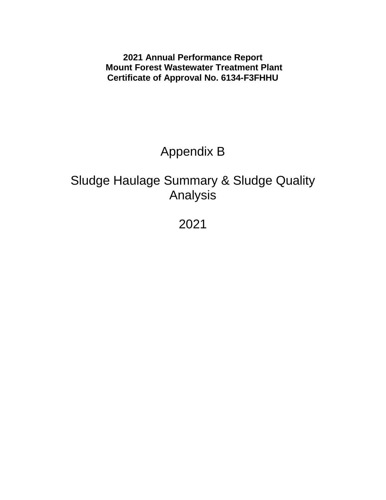**2021 Annual Performance Report Mount Forest Wastewater Treatment Plant Certificate of Approval No. 6134-F3FHHU**

# Appendix B

### Sludge Haulage Summary & Sludge Quality Analysis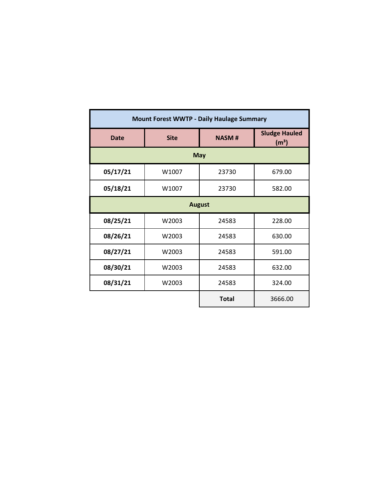|               |                          | <b>Mount Forest WWTP - Daily Haulage Summary</b> |                                           |  |  |  |  |  |  |
|---------------|--------------------------|--------------------------------------------------|-------------------------------------------|--|--|--|--|--|--|
| <b>Date</b>   | <b>Site</b>              | <b>NASM#</b>                                     | <b>Sludge Hauled</b><br>(m <sup>3</sup> ) |  |  |  |  |  |  |
|               |                          | <b>May</b>                                       |                                           |  |  |  |  |  |  |
| 05/17/21      | W1007<br>23730<br>679.00 |                                                  |                                           |  |  |  |  |  |  |
| 05/18/21      | W1007<br>23730<br>582.00 |                                                  |                                           |  |  |  |  |  |  |
| <b>August</b> |                          |                                                  |                                           |  |  |  |  |  |  |
| 08/25/21      | W2003                    | 24583                                            | 228.00                                    |  |  |  |  |  |  |
| 08/26/21      | W2003                    | 24583                                            | 630.00                                    |  |  |  |  |  |  |
| 08/27/21      | W2003                    | 24583                                            | 591.00                                    |  |  |  |  |  |  |
| 08/30/21      | W2003                    | 24583                                            | 632.00                                    |  |  |  |  |  |  |
| 08/31/21      | W2003                    | 24583                                            | 324.00                                    |  |  |  |  |  |  |
|               |                          | <b>Total</b>                                     | 3666.00                                   |  |  |  |  |  |  |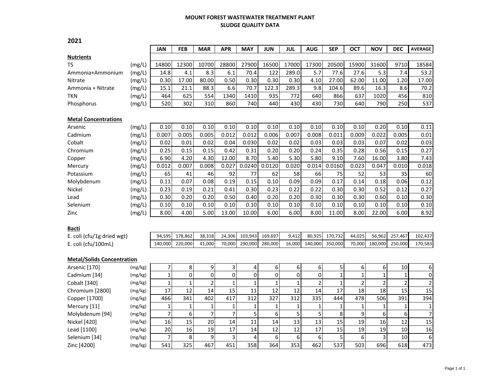#### **MOUNT FOREST WASTEWATER TREATMENT PLANT SLUDGE QUALITY DATA**

|                                   |                    | <b>JAN</b>     | <b>FEB</b>     | <b>MAR</b>     | <b>APR</b>     | MAY          | <b>JUN</b>   | JUL          | <b>AUG</b>     | <b>SEP</b>   | ОСТ            | <b>NOV</b>   | <b>DEC</b>     | <b>AVERAGE</b> |
|-----------------------------------|--------------------|----------------|----------------|----------------|----------------|--------------|--------------|--------------|----------------|--------------|----------------|--------------|----------------|----------------|
| <b>Nutrients</b>                  |                    |                |                |                |                |              |              |              |                |              |                |              |                |                |
| <b>TS</b>                         | (mg/L)             | 14800          | 12300          | 10700          | 28800          | 27900        | 16500        | 17000        | 17300          | 20500        | 15900          | 31600        | 9710           | 18584          |
| Ammonia+Ammonium                  | (mg/L)             | 14.8           | 4.1            | 8.3            | 6.1            | 70.4         | 122          | 289.0        | 5.7            | 77.6         | 27.6           | 5.3          | 7.4            | 53.2           |
| Nitrate                           | (mg/L)             | 0.30           | 17.00          | 80.00          | 0.50           | 0.30         | 0.30         | 0.30         | 4.10           | 27.00        | 62.00          | 11.00        | 1.20           | 17.00          |
| Ammonia + Nitrate                 | (mg/L)             | 15.1           | 21.1           | 88.3           | 6.6            | 70.7         | 122.3        | 289.3        | 9.8            | 104.6        | 89.6           | 16.3         | 8.6            | 70.2           |
| <b>TKN</b>                        | (mg/L)             | 464            | 625            | 554            | 1340           | 1410         | 935          | 772          | 640            | 866          | 637            | 1020         | 456            | 810            |
| Phosphorus                        | (mg/L)             | 520            | 302            | 310            | 860            | 740          | 440          | 430          | 430            | 730          | 640            | 790          | 250            | 537            |
| <b>Metal Concentrations</b>       |                    |                |                |                |                |              |              |              |                |              |                |              |                |                |
| Arsenic                           | (mg/L)             | 0.10           | 0.10           | 0.10           | 0.10           | 0.10         | 0.10         | 0.10         | 0.10           | 0.10         | 0.10           | 0.20         | 0.10           | 0.11           |
| Cadmium                           | (mg/L)             | 0.007          | 0.005          | 0.005          | 0.012          | 0.012        | 0.006        | 0.007        | 0.008          | 0.011        | 0.009          | 0.022        | 0.005          | 0.01           |
| Cobalt                            | (mg/L)             | 0.02           | 0.01           | 0.02           | 0.04           | 0.030        | 0.02         | 0.02         | 0.03           | 0.03         | 0.03           | 0.07         | 0.02           | 0.03           |
| Chromium                          | (mg/L)             | 0.25           | 0.15           | 0.15           | 0.42           | 0.31         | 0.20         | 0.20         | 0.24           | 0.35         | 0.28           | 0.56         | 0.15           | 0.27           |
| Copper                            | (mg/L)             | 6.90           | 4.20           | 4.30           | 12.00          | 8.70         | 5.40         | 5.30         | 5.80           | 9.10         | 7.60           | 16.00        | 3.80           | 7.43           |
| Mercury                           | (mg/L)             | 0.012          | 0.007          | 0.008          | 0.027          | 0.0240       | 0.0120       | 0.020        | 0.014          | 0.0160       | 0.023          | 0.047        | 0.010          | 0.018          |
| Potassium                         | (mg/L)             | 65             | 41             | 46             | 92             | 77           | 62           | 58           | 66             | 75           | 52             | 53           | 35             | 60             |
| Molybdenum                        | (mg/L)             | 0.11           | 0.07           | 0.08           | 0.19           | 0.15         | 0.10         | 0.09         | 0.09           | 0.17         | 0.14           | 0.18         | 0.06           | 0.12           |
| Nickel                            | (mg/L)             | 0.23           | 0.19           | 0.21           | 0.41           | 0.30         | 0.23         | 0.22         | 0.22           | 0.30         | 0.30           | 0.52         | 0.12           | 0.27           |
| Lead                              | (mg/L)             | 0.30           | 0.20           | 0.20           | 0.50           | 0.40         | 0.20         | 0.20         | 0.30           | 0.30         | 0.30           | 0.60         | 0.10           | 0.30           |
| Selenium                          | (mg/L)             | 0.10           | 0.10           | 0.10           | 0.10           | 0.10         | 0.10         | 0.10         | 0.10           | 0.10         | 0.10           | 0.10         | 0.10           | 0.10           |
| Zinc                              | (mg/L)             | 8.00           | 4.00           | 5.00           | 13.00          | 10.00        | 6.00         | 6.00         | 8.00           | 11.00        | 8.00           | 22.00        | 6.00           | 8.92           |
| <b>Bacti</b>                      |                    |                |                |                |                |              |              |              |                |              |                |              |                |                |
| E. coli (cfu/1g dried wgt)        |                    | 94,595         | 178,862        | 38,318         | 24,306         | 103,943      | 169,697      | 9,412        | 80,925         | 170,732      | 44,025         | 56,962       | 257,467        | 102,437        |
| E. coli (cfu/100mL)               |                    | 140,000        | 220,000        | 41,000         | 70,000         | 290,000      | 280,000      | 16,000       | 140,000        | 350,000      | 70,000         | 180,000      | 250,000        | 170,583        |
|                                   |                    |                |                |                |                |              |              |              |                |              |                |              |                |                |
| <b>Metal/Solids Concentration</b> |                    | $\overline{7}$ | 8              | 9              | 3              | 4            | 6            | 6            | 6              | 5            | 6              | 6            | 10             | 6              |
| Arsenic [170]<br>Cadmium [34]     | (mg/kg)<br>(mg/kg) | $\mathbf 1$    | 0              | $\pmb{0}$      | 0              | 0            | 0            | 0            | 0              | $\mathbf{1}$ | $\mathbf{1}$   | $\mathbf 1$  | $\mathbf{1}$   | $\mathbf 0$    |
| Cobalt [340]                      | (mg/kg)            | $\mathbf{1}$   | $\overline{1}$ | $\overline{2}$ | $\mathbf{1}$   | $\mathbf 1$  | $\mathbf 1$  | $\mathbf{1}$ | $\overline{2}$ | $\mathbf{1}$ | $\overline{c}$ | $\mathbf{2}$ | $\overline{2}$ | $\overline{c}$ |
| Chromium [2800]                   | (mg/kg)            | 17             | 12             | 14             | 15             | 11           | 12           | 12           | 14             | 17           | 18             | 18           | 15             | 15             |
| Copper [1700]                     | (mg/kg)            | 466            | 341            | 402            | 417            | 312          | 327          | 312          | 335            | 444          | 478            | 506          | 391            | 394            |
| Mercury [11]                      | (mg/kg)            | $\mathbf{1}$   | $\mathbf{1}$   | $\mathbf 1$    | 1              | $\mathbf{1}$ | $\mathbf{1}$ | $\mathbf{1}$ | $\mathbf{1}$   | $\mathbf{1}$ | $\mathbf 1$    | $\mathbf 1$  | 1              | $\mathbf{1}$   |
| Molybdenum [94]                   | (mg/kg)            | $\overline{7}$ | 6              | $\overline{7}$ | $\overline{7}$ | 5            | 6            | 5            | 5              | 8            | 9              | 6            | 6              | $\overline{7}$ |
| Nickel [420]                      | (mg/kg)            | 16             | 15             | 20             | 14             | 11           | 14           | 13           | 13             | 15           | 19             | 16           | 12             | 15             |
| Lead [1100]                       | (mg/kg)            | 20             | 16             | 19             | 17             | 14           | 12           | 12           | 17             | 15           | 19             | 19           | 10             | 16             |
| Selenium [34]                     | (mg/kg)            | 7              | 8              | 9              | 3              | 4            | 6            | 6            | 6              | 5            | 6              | 3            | 10             | 6              |
| Zinc [4200]                       | (mg/kg)            | 541            | 325            | 467            | 451            | 358          | 364          | 353          | 462            | 537          | 503            | 696          | 618            | 473            |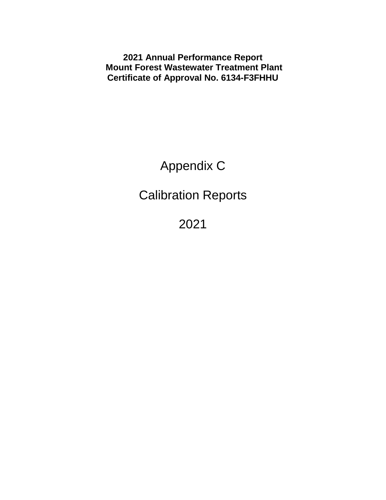**2021 Annual Performance Report Mount Forest Wastewater Treatment Plant Certificate of Approval No. 6134-F3FHHU**

Appendix C

Calibration Reports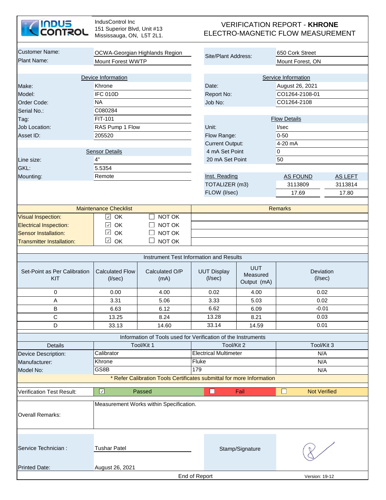

| <b>Customer Name:</b>                        |                                         | OCWA-Georgian Highlands Region                                        |               | Site/Plant Address:                 |                                                                     | 650 Cork Street                       |                |  |  |
|----------------------------------------------|-----------------------------------------|-----------------------------------------------------------------------|---------------|-------------------------------------|---------------------------------------------------------------------|---------------------------------------|----------------|--|--|
| <b>Plant Name:</b>                           | Mount Forest WWTP                       |                                                                       |               |                                     |                                                                     | Mount Forest, ON                      |                |  |  |
|                                              |                                         |                                                                       |               |                                     |                                                                     |                                       |                |  |  |
|                                              | Device Information                      |                                                                       |               |                                     |                                                                     | Service Information                   |                |  |  |
| Make:                                        | Khrone                                  |                                                                       |               | Date:                               |                                                                     | August 26, 2021                       |                |  |  |
| Model:                                       | IFC 010D                                |                                                                       |               | Report No:                          |                                                                     | CO1264-2108-01                        |                |  |  |
| Order Code:                                  | <b>NA</b>                               |                                                                       |               | Job No:                             |                                                                     | CO1264-2108                           |                |  |  |
| Serial No.:                                  | C080284                                 |                                                                       |               |                                     |                                                                     |                                       |                |  |  |
| Tag:                                         | FIT-101                                 |                                                                       |               |                                     |                                                                     | <b>Flow Details</b>                   |                |  |  |
| Job Location:                                | RAS Pump 1 Flow                         |                                                                       |               | Unit:                               |                                                                     | V <sub>sec</sub>                      |                |  |  |
| Asset ID:                                    | 205520                                  |                                                                       |               | Flow Range:                         |                                                                     | $0 - 50$                              |                |  |  |
|                                              |                                         |                                                                       |               | <b>Current Output:</b>              |                                                                     | 4-20 mA                               |                |  |  |
|                                              | <b>Sensor Details</b>                   |                                                                       |               | 4 mA Set Point                      |                                                                     | $\overline{0}$                        |                |  |  |
| Line size:                                   | 4"                                      |                                                                       |               | 20 mA Set Point                     |                                                                     | 50                                    |                |  |  |
| GKL:                                         | 5.5354                                  |                                                                       |               |                                     |                                                                     |                                       |                |  |  |
| Mounting:                                    | Remote                                  |                                                                       |               | Inst. Reading                       |                                                                     | <b>AS FOUND</b>                       | <b>AS LEFT</b> |  |  |
|                                              |                                         |                                                                       |               | TOTALIZER (m3)                      |                                                                     | 3113809                               | 3113814        |  |  |
|                                              |                                         |                                                                       |               | FLOW (I/sec)                        |                                                                     | 17.69                                 | 17.80          |  |  |
|                                              |                                         |                                                                       |               |                                     |                                                                     |                                       |                |  |  |
|                                              | <b>Maintenance Checklist</b>            |                                                                       |               |                                     |                                                                     | <b>Remarks</b>                        |                |  |  |
| <b>Visual Inspection:</b>                    | $\checkmark$<br>OK                      | NOT OK                                                                |               |                                     |                                                                     |                                       |                |  |  |
| <b>Electrical Inspection:</b>                | OK<br>$\checkmark$                      | NOT OK                                                                |               |                                     |                                                                     |                                       |                |  |  |
| <b>Sensor Installation:</b>                  | $\checkmark$<br>OK                      | NOT OK                                                                |               |                                     |                                                                     |                                       |                |  |  |
| <b>Transmitter Installation:</b>             | $\checkmark$<br>OK                      | NOT OK                                                                |               |                                     |                                                                     |                                       |                |  |  |
|                                              |                                         |                                                                       |               |                                     |                                                                     |                                       |                |  |  |
|                                              |                                         | Instrument Test Information and Results                               |               |                                     |                                                                     |                                       |                |  |  |
| Set-Point as Per Calibration<br>KIT          | <b>Calculated Flow</b><br>$($ l/sec $)$ | Calculated O/P<br>(mA)                                                |               | <b>UUT Display</b><br>$($ l/sec $)$ | <b>UUT</b><br>Deviation<br>Measured<br>$($ l/sec $)$<br>Output (mA) |                                       |                |  |  |
| 0                                            | 0.00                                    | 4.00                                                                  |               | 0.02                                | 4.00                                                                |                                       | 0.02           |  |  |
| A                                            | 3.31                                    | 5.06                                                                  |               | 3.33                                | 5.03                                                                | 0.02                                  |                |  |  |
| B                                            | 6.63                                    | 6.12                                                                  |               | 6.62                                | 6.09                                                                | $-0.01$                               |                |  |  |
| C                                            | 13.25                                   | 8.24                                                                  |               | 13.28                               | 8.21                                                                | 0.03                                  |                |  |  |
| D                                            | 33.13                                   | 14.60                                                                 |               | 33.14                               | 14.59                                                               | 0.01                                  |                |  |  |
|                                              |                                         | Information of Tools used for Verification of the Instruments         |               |                                     |                                                                     |                                       |                |  |  |
| Details                                      |                                         | Tool/Kit 1                                                            |               | Tool/Kit 2                          |                                                                     | Tool/Kit 3                            |                |  |  |
|                                              | Calibrator                              |                                                                       |               | <b>Electrical Multimeter</b>        |                                                                     | N/A                                   |                |  |  |
| Device Description:                          | Khrone                                  |                                                                       | Fluke         |                                     |                                                                     |                                       |                |  |  |
| Manufacturer:<br>Model No:                   | GS8B                                    |                                                                       | 179           |                                     |                                                                     | N/A<br>N/A                            |                |  |  |
|                                              |                                         | * Refer Calibration Tools Certificates submittal for more Information |               |                                     |                                                                     |                                       |                |  |  |
|                                              |                                         |                                                                       |               |                                     |                                                                     |                                       |                |  |  |
| <b>Verification Test Result:</b>             | $\checkmark$                            | Passed                                                                |               | $\Box$                              | Fail                                                                | $\blacksquare$<br><b>Not Verified</b> |                |  |  |
| <b>Overall Remarks:</b>                      |                                         | Measurement Works within Specification.                               |               |                                     |                                                                     |                                       |                |  |  |
| Service Technician :<br><b>Printed Date:</b> | <b>Tushar Patel</b><br>August 26, 2021  |                                                                       |               |                                     | Stamp/Signature                                                     |                                       |                |  |  |
|                                              |                                         |                                                                       | End of Report |                                     |                                                                     | Version: 19-12                        |                |  |  |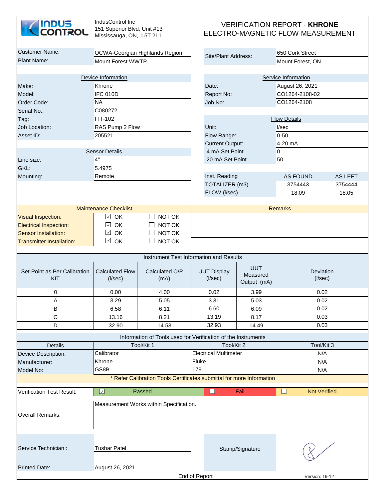

| <b>Customer Name:</b>               |                                         | OCWA-Georgian Highlands Region                                        |               | Site/Plant Address:                        |                                       | 650 Cork Street            |         |  |
|-------------------------------------|-----------------------------------------|-----------------------------------------------------------------------|---------------|--------------------------------------------|---------------------------------------|----------------------------|---------|--|
| Plant Name:                         | <b>Mount Forest WWTP</b>                |                                                                       |               |                                            |                                       | Mount Forest, ON           |         |  |
|                                     |                                         |                                                                       |               |                                            |                                       |                            |         |  |
|                                     | Device Information                      |                                                                       |               |                                            |                                       | Service Information        |         |  |
| Make:                               | Khrone                                  |                                                                       |               | Date:                                      |                                       | August 26, 2021            |         |  |
| Model:                              | <b>IFC 010D</b>                         |                                                                       |               | Report No:                                 |                                       | CO1264-2108-02             |         |  |
| Order Code:                         | <b>NA</b>                               |                                                                       |               | Job No:                                    |                                       | CO1264-2108                |         |  |
| Serial No.:                         | C080272                                 |                                                                       |               |                                            |                                       |                            |         |  |
| Tag:                                | FIT-102                                 |                                                                       |               |                                            |                                       | <b>Flow Details</b>        |         |  |
| <b>Job Location:</b>                | RAS Pump 2 Flow                         |                                                                       |               | Unit:                                      |                                       | V <sub>sec</sub>           |         |  |
| Asset ID:                           | 205521                                  |                                                                       |               | Flow Range:                                |                                       | $0 - 50$                   |         |  |
|                                     |                                         |                                                                       |               | <b>Current Output:</b>                     |                                       | 4-20 mA                    |         |  |
|                                     | <b>Sensor Details</b>                   |                                                                       |               | 4 mA Set Point                             |                                       | $\overline{0}$             |         |  |
| Line size:                          | 4"                                      |                                                                       |               | 20 mA Set Point                            |                                       | 50                         |         |  |
| GKL:                                | 5.4975                                  |                                                                       |               |                                            |                                       |                            |         |  |
| Mounting:                           | Remote                                  |                                                                       |               | Inst. Reading                              |                                       | AS FOUND                   | AS LEFT |  |
|                                     |                                         |                                                                       |               | TOTALIZER (m3)                             |                                       | 3754443                    | 3754444 |  |
|                                     |                                         |                                                                       |               | FLOW (I/sec)                               |                                       | 18.09                      | 18.05   |  |
|                                     |                                         |                                                                       |               |                                            |                                       |                            |         |  |
|                                     | <b>Maintenance Checklist</b>            |                                                                       |               |                                            |                                       | <b>Remarks</b>             |         |  |
| <b>Visual Inspection:</b>           | $\checkmark$<br>OK                      | NOT OK                                                                |               |                                            |                                       |                            |         |  |
| <b>Electrical Inspection:</b>       | $\checkmark$<br>OK                      | NOT OK                                                                |               |                                            |                                       |                            |         |  |
| <b>Sensor Installation:</b>         | $\checkmark$<br>OK                      | NOT OK                                                                |               |                                            |                                       |                            |         |  |
| <b>Transmitter Installation:</b>    | $\checkmark$<br>OK                      | NOT OK                                                                |               |                                            |                                       |                            |         |  |
|                                     |                                         |                                                                       |               |                                            |                                       |                            |         |  |
|                                     |                                         | Instrument Test Information and Results                               |               |                                            |                                       |                            |         |  |
| Set-Point as Per Calibration<br>KIT | <b>Calculated Flow</b><br>$($ l/sec $)$ | Calculated O/P<br>(mA)                                                |               | <b>UUT Display</b><br>$($ //sec $)$        | <b>UUT</b><br>Measured<br>Output (mA) | Deviation<br>$($ I/sec $)$ |         |  |
| 0                                   | 0.00                                    | 4.00                                                                  |               | 0.02                                       | 3.99                                  | 0.02                       |         |  |
| A                                   | 3.29                                    | 5.05                                                                  |               | 3.31                                       | 5.03                                  | 0.02                       |         |  |
| В                                   | 6.58                                    | 6.11                                                                  |               | 6.60                                       | 6.09                                  | 0.02                       |         |  |
| С                                   | 13.16                                   | 8.21                                                                  |               | 13.19                                      | 8.17                                  | 0.03                       |         |  |
| D                                   | 32.90                                   | 14.53                                                                 |               | 32.93                                      | 14.49                                 | 0.03                       |         |  |
|                                     |                                         |                                                                       |               |                                            |                                       |                            |         |  |
|                                     |                                         | Information of Tools used for Verification of the Instruments         |               |                                            |                                       |                            |         |  |
| Details                             |                                         | Tool/Kit 1                                                            |               | Tool/Kit 2<br><b>Electrical Multimeter</b> |                                       | Tool/Kit 3                 |         |  |
| Device Description:                 | Calibrator                              |                                                                       |               |                                            |                                       | N/A                        |         |  |
| Manufacturer:                       | Khrone                                  |                                                                       | Fluke         |                                            |                                       | N/A                        |         |  |
| Model No:                           | GS8B                                    |                                                                       | 179           |                                            |                                       | N/A                        |         |  |
|                                     |                                         | * Refer Calibration Tools Certificates submittal for more Information |               |                                            |                                       |                            |         |  |
| <b>Verification Test Result:</b>    | $\checkmark$                            | Passed                                                                |               | $\Box$                                     | Fail                                  | <b>Not Verified</b>        |         |  |
| <b>Overall Remarks:</b>             |                                         | Measurement Works within Specification.                               |               |                                            |                                       |                            |         |  |
|                                     |                                         |                                                                       |               |                                            |                                       |                            |         |  |
| Service Technician :                | <b>Tushar Patel</b>                     |                                                                       |               |                                            | Stamp/Signature                       |                            |         |  |
|                                     |                                         |                                                                       |               |                                            |                                       |                            |         |  |
| <b>Printed Date:</b>                | August 26, 2021                         |                                                                       | End of Report |                                            |                                       | Version: 19-12             |         |  |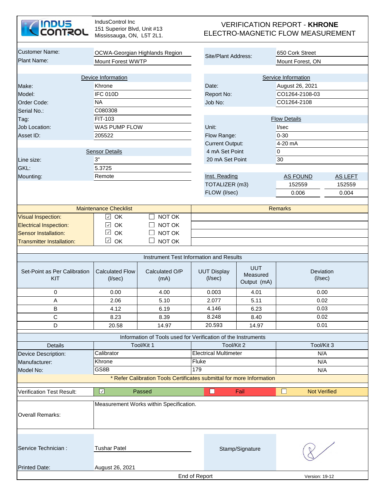

| <b>Customer Name:</b>                        |                                         |                                                                       |               |                                     |                                       |                            |                |  |
|----------------------------------------------|-----------------------------------------|-----------------------------------------------------------------------|---------------|-------------------------------------|---------------------------------------|----------------------------|----------------|--|
| Plant Name:                                  |                                         | OCWA-Georgian Highlands Region                                        |               | Site/Plant Address:                 |                                       | 650 Cork Street            |                |  |
|                                              | <b>Mount Forest WWTP</b>                |                                                                       |               |                                     |                                       | Mount Forest, ON           |                |  |
|                                              |                                         |                                                                       |               |                                     |                                       |                            |                |  |
|                                              | Device Information                      |                                                                       |               |                                     |                                       | Service Information        |                |  |
| Make:                                        | Khrone                                  |                                                                       |               | Date:                               |                                       | August 26, 2021            |                |  |
| Model:                                       | <b>IFC 010D</b>                         |                                                                       |               | Report No:                          |                                       | CO1264-2108-03             |                |  |
| Order Code:                                  | <b>NA</b>                               |                                                                       |               | Job No:                             |                                       | CO1264-2108                |                |  |
| Serial No.:                                  | C080308                                 |                                                                       |               |                                     |                                       |                            |                |  |
| Tag:                                         | FIT-103                                 |                                                                       |               |                                     |                                       | <b>Flow Details</b>        |                |  |
| <b>Job Location:</b>                         | WAS PUMP FLOW                           |                                                                       |               | Unit:                               |                                       | I/sec                      |                |  |
| Asset ID:                                    | 205522                                  |                                                                       |               | Flow Range:                         |                                       | $0 - 30$                   |                |  |
|                                              |                                         |                                                                       |               | <b>Current Output:</b>              |                                       | 4-20 mA                    |                |  |
|                                              | <b>Sensor Details</b>                   |                                                                       |               | 4 mA Set Point                      |                                       | 0                          |                |  |
| Line size:                                   | 3"                                      |                                                                       |               | 20 mA Set Point                     |                                       | 30                         |                |  |
| GKL:                                         | 5.3725                                  |                                                                       |               |                                     |                                       |                            |                |  |
| Mounting:                                    | Remote                                  |                                                                       |               | Inst. Reading                       |                                       | AS FOUND                   | <b>AS LEFT</b> |  |
|                                              |                                         |                                                                       |               | TOTALIZER (m3)                      |                                       | 152559                     | 152559         |  |
|                                              |                                         |                                                                       |               | FLOW (I/sec)                        |                                       | 0.006                      | 0.004          |  |
|                                              | <b>Maintenance Checklist</b>            |                                                                       |               |                                     |                                       | <b>Remarks</b>             |                |  |
| <b>Visual Inspection:</b>                    | OK<br>$\checkmark$                      | NOT OK                                                                |               |                                     |                                       |                            |                |  |
| <b>Electrical Inspection:</b>                | OK<br>$\checkmark$                      | NOT OK                                                                |               |                                     |                                       |                            |                |  |
| <b>Sensor Installation:</b>                  | $\checkmark$<br>OK                      | NOT OK                                                                |               |                                     |                                       |                            |                |  |
| <b>Transmitter Installation:</b>             | $\checkmark$<br>OK                      | $\mathbf{L}$<br>NOT OK                                                |               |                                     |                                       |                            |                |  |
|                                              |                                         |                                                                       |               |                                     |                                       |                            |                |  |
|                                              |                                         | Instrument Test Information and Results                               |               |                                     |                                       |                            |                |  |
| Set-Point as Per Calibration<br>KIT          | <b>Calculated Flow</b><br>$($ l/sec $)$ | Calculated O/P<br>(mA)                                                |               | <b>UUT Display</b><br>$($ l/sec $)$ | <b>UUT</b><br>Measured<br>Output (mA) | Deviation<br>$($ l/sec $)$ |                |  |
| 0                                            | 0.00                                    | 4.00                                                                  |               | 0.003                               | 4.01                                  | 0.00                       |                |  |
| $\mathsf A$                                  | 2.06                                    | 5.10                                                                  |               | 2.077                               | 5.11                                  | 0.02                       |                |  |
| B                                            | 4.12                                    | 6.19                                                                  |               | 4.146                               | 6.23                                  | 0.03                       |                |  |
| C                                            | 8.23                                    | 8.39                                                                  |               | 8.248                               | 8.40                                  | 0.02                       |                |  |
| D                                            | 20.58                                   | 14.97                                                                 |               | 20.593                              | 14.97                                 | 0.01                       |                |  |
|                                              |                                         | Information of Tools used for Verification of the Instruments         |               |                                     |                                       |                            |                |  |
| Details                                      |                                         | Tool/Kit 1                                                            |               | Tool/Kit 2                          |                                       | Tool/Kit 3                 |                |  |
|                                              | Calibrator                              |                                                                       |               | <b>Electrical Multimeter</b>        |                                       | N/A                        |                |  |
| Device Description:<br>Manufacturer:         | Khrone                                  |                                                                       | Fluke         |                                     |                                       | N/A                        |                |  |
| Model No:                                    | GS8B                                    |                                                                       | 179           |                                     |                                       | N/A                        |                |  |
|                                              |                                         | * Refer Calibration Tools Certificates submittal for more Information |               |                                     |                                       |                            |                |  |
|                                              |                                         |                                                                       |               |                                     |                                       |                            |                |  |
| <b>Verification Test Result:</b>             | $\sqrt{2}$                              | Passed                                                                |               | П                                   | Fail                                  | <b>Not Verified</b>        |                |  |
| <b>Overall Remarks:</b>                      |                                         | Measurement Works within Specification.                               |               |                                     |                                       |                            |                |  |
| Service Technician :<br><b>Printed Date:</b> | <b>Tushar Patel</b><br>August 26, 2021  |                                                                       |               |                                     | Stamp/Signature                       |                            |                |  |
|                                              |                                         |                                                                       | End of Report |                                     |                                       | Version: 19-12             |                |  |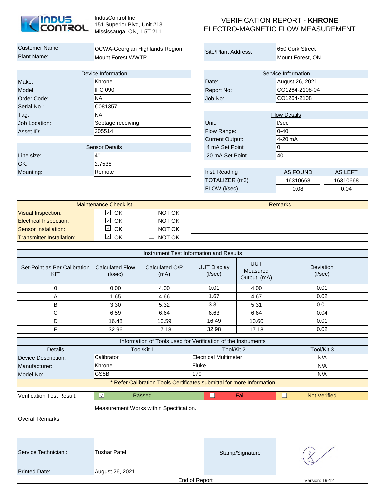| <b>INDUS<br/>CONTROL</b>                   | IndusControl Inc<br>151 Superior Blvd, Unit #13<br>Mississauga, ON, L5T 2L1. |                                                                       | <b>VERIFICATION REPORT - KHRONE</b><br>ELECTRO-MAGNETIC FLOW MEASUREMENT |                                       |                                     |                |  |  |  |  |
|--------------------------------------------|------------------------------------------------------------------------------|-----------------------------------------------------------------------|--------------------------------------------------------------------------|---------------------------------------|-------------------------------------|----------------|--|--|--|--|
| <b>Customer Name:</b><br>Plant Name:       | Mount Forest WWTP                                                            | OCWA-Georgian Highlands Region                                        | Site/Plant Address:                                                      |                                       | 650 Cork Street<br>Mount Forest, ON |                |  |  |  |  |
|                                            |                                                                              |                                                                       |                                                                          |                                       |                                     |                |  |  |  |  |
|                                            | Device Information                                                           |                                                                       |                                                                          |                                       | Service Information                 |                |  |  |  |  |
| Make:                                      | Khrone                                                                       |                                                                       | Date:                                                                    |                                       | August 26, 2021                     |                |  |  |  |  |
| Model:                                     | <b>IFC 090</b>                                                               |                                                                       | Report No:                                                               |                                       | CO1264-2108-04                      |                |  |  |  |  |
| Order Code:                                | <b>NA</b>                                                                    |                                                                       | Job No:                                                                  |                                       | CO1264-2108                         |                |  |  |  |  |
| Serial No.:                                | C081357                                                                      |                                                                       |                                                                          |                                       |                                     |                |  |  |  |  |
| Tag:                                       | <b>NA</b>                                                                    |                                                                       |                                                                          |                                       | <b>Flow Details</b>                 |                |  |  |  |  |
| Job Location:                              | Septage receiving                                                            |                                                                       | Unit:                                                                    |                                       | I/sec                               |                |  |  |  |  |
| Asset ID:                                  | 205514                                                                       |                                                                       | Flow Range:                                                              |                                       | $0 - 40$                            |                |  |  |  |  |
|                                            |                                                                              |                                                                       | <b>Current Output:</b>                                                   |                                       | 4-20 mA                             |                |  |  |  |  |
|                                            | <b>Sensor Details</b>                                                        |                                                                       | 4 mA Set Point                                                           |                                       | 0                                   |                |  |  |  |  |
| Line size:                                 | 4"                                                                           |                                                                       | 20 mA Set Point                                                          |                                       | 40                                  |                |  |  |  |  |
| GK:                                        | 2.7538                                                                       |                                                                       |                                                                          |                                       |                                     |                |  |  |  |  |
| Mounting:                                  | Remote                                                                       |                                                                       | Inst. Reading                                                            |                                       | <b>AS FOUND</b>                     | <b>AS LEFT</b> |  |  |  |  |
|                                            |                                                                              |                                                                       | TOTALIZER (m3)                                                           |                                       | 16310668                            | 16310668       |  |  |  |  |
|                                            |                                                                              |                                                                       | FLOW (I/sec)                                                             |                                       | 0.08                                | 0.04           |  |  |  |  |
|                                            |                                                                              |                                                                       |                                                                          |                                       |                                     |                |  |  |  |  |
|                                            | <b>Maintenance Checklist</b>                                                 |                                                                       |                                                                          |                                       | <b>Remarks</b>                      |                |  |  |  |  |
| <b>Visual Inspection:</b>                  | OK<br>$\checkmark$                                                           | NOT OK<br>┓                                                           |                                                                          |                                       |                                     |                |  |  |  |  |
| <b>Electrical Inspection:</b>              | OK<br>$\checkmark$                                                           | NOT OK                                                                |                                                                          |                                       |                                     |                |  |  |  |  |
| <b>Sensor Installation:</b>                | $\checkmark$<br>OK                                                           | NOT OK                                                                |                                                                          |                                       |                                     |                |  |  |  |  |
| <b>Transmitter Installation:</b>           | $\checkmark$<br>OK                                                           | NOT OK                                                                |                                                                          |                                       |                                     |                |  |  |  |  |
|                                            |                                                                              |                                                                       |                                                                          |                                       |                                     |                |  |  |  |  |
|                                            |                                                                              | Instrument Test Information and Results                               |                                                                          |                                       |                                     |                |  |  |  |  |
| Set-Point as Per Calibration<br><b>KIT</b> | <b>Calculated Flow</b><br>(I/sec)                                            | Calculated O/P<br>(mA)                                                | <b>UUT Display</b><br>$($ l/sec $)$                                      | <b>UUT</b><br>Measured<br>Output (mA) | Deviation<br>$($ l/sec $)$          |                |  |  |  |  |
| 0                                          | 0.00                                                                         | 4.00                                                                  | 0.01                                                                     | 4.00                                  | 0.01                                |                |  |  |  |  |
| A                                          | 1.65                                                                         | 4.66                                                                  | 1.67                                                                     | 4.67                                  | 0.02                                |                |  |  |  |  |
| B                                          | 3.30                                                                         | 5.32                                                                  | 3.31                                                                     | 5.31                                  | 0.01                                |                |  |  |  |  |
| $\mathbf C$                                | 6.59                                                                         | 6.64                                                                  | 6.63                                                                     | 6.64                                  | 0.04                                |                |  |  |  |  |
| D                                          | 16.48                                                                        | 10.59                                                                 | 16.49                                                                    | 10.60                                 | 0.01                                |                |  |  |  |  |
| $\mathsf E$                                | 32.96                                                                        | 17.18                                                                 | 32.98                                                                    | 17.18                                 | 0.02                                |                |  |  |  |  |
|                                            |                                                                              | Information of Tools used for Verification of the Instruments         |                                                                          |                                       |                                     |                |  |  |  |  |
| <b>Details</b>                             |                                                                              | Tool/Kit 1                                                            | Tool/Kit 2                                                               |                                       | Tool/Kit 3                          |                |  |  |  |  |
| Device Description:                        | Calibrator                                                                   |                                                                       | <b>Electrical Multimeter</b>                                             |                                       | N/A                                 |                |  |  |  |  |
| Manufacturer:                              | Khrone                                                                       |                                                                       | Fluke                                                                    |                                       | N/A                                 |                |  |  |  |  |
| Model No:                                  | GS8B                                                                         |                                                                       | 179                                                                      |                                       | N/A                                 |                |  |  |  |  |
|                                            |                                                                              | * Refer Calibration Tools Certificates submittal for more Information |                                                                          |                                       |                                     |                |  |  |  |  |
| <b>Verification Test Result:</b>           | ☑                                                                            | Passed                                                                | $\Box$                                                                   | Fail                                  | □<br><b>Not Verified</b>            |                |  |  |  |  |
|                                            |                                                                              |                                                                       |                                                                          |                                       |                                     |                |  |  |  |  |
| <b>Overall Remarks:</b>                    |                                                                              | Measurement Works within Specification.                               |                                                                          |                                       |                                     |                |  |  |  |  |
| Service Technician :                       | <b>Tushar Patel</b>                                                          |                                                                       |                                                                          | Stamp/Signature                       |                                     |                |  |  |  |  |
| <b>Printed Date:</b>                       | August 26, 2021                                                              |                                                                       |                                                                          |                                       |                                     |                |  |  |  |  |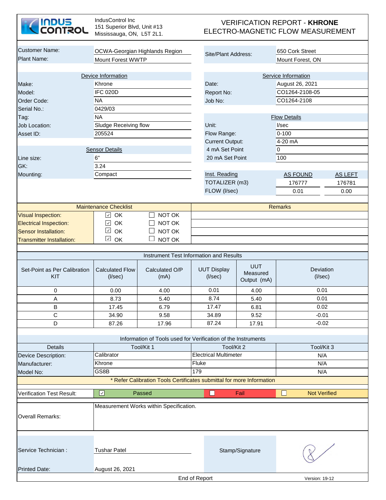| <b>INDUS<br/>CONTROL</b>            | IndusControl Inc<br>151 Superior Blvd, Unit #13<br>Mississauga, ON, L5T 2L1. |                                                                             |                                         |                                       | <b>VERIFICATION REPORT - KHRONE</b><br>ELECTRO-MAGNETIC FLOW MEASUREMENT |                     |  |
|-------------------------------------|------------------------------------------------------------------------------|-----------------------------------------------------------------------------|-----------------------------------------|---------------------------------------|--------------------------------------------------------------------------|---------------------|--|
| <b>Customer Name:</b>               |                                                                              | OCWA-Georgian Highlands Region                                              |                                         |                                       | 650 Cork Street                                                          |                     |  |
| <b>Plant Name:</b>                  | <b>Mount Forest WWTP</b>                                                     |                                                                             | Site/Plant Address:                     |                                       | Mount Forest, ON                                                         |                     |  |
|                                     |                                                                              |                                                                             |                                         |                                       |                                                                          |                     |  |
|                                     | Device Information                                                           |                                                                             |                                         |                                       | Service Information                                                      |                     |  |
| Make:                               | Khrone                                                                       |                                                                             | Date:                                   |                                       | August 26, 2021                                                          |                     |  |
| Model:                              | <b>IFC 020D</b>                                                              |                                                                             | Report No:                              |                                       | CO1264-2108-05                                                           |                     |  |
| Order Code:                         | <b>NA</b>                                                                    |                                                                             | Job No:                                 |                                       | CO1264-2108                                                              |                     |  |
| Serial No.:                         | 0429/03                                                                      |                                                                             |                                         |                                       |                                                                          |                     |  |
| Tag:                                | <b>NA</b>                                                                    |                                                                             |                                         |                                       | <b>Flow Details</b>                                                      |                     |  |
| Job Location:                       | <b>Sludge Receiving flow</b>                                                 |                                                                             | Unit:                                   |                                       | V <sub>sec</sub>                                                         |                     |  |
| Asset ID:                           | 205524                                                                       |                                                                             | Flow Range:                             |                                       | $0 - 100$                                                                |                     |  |
|                                     |                                                                              |                                                                             | <b>Current Output:</b>                  |                                       | 4-20 mA                                                                  |                     |  |
|                                     | <b>Sensor Details</b>                                                        |                                                                             | 4 mA Set Point                          |                                       | $\overline{0}$                                                           |                     |  |
| Line size:                          | 6"                                                                           |                                                                             | 20 mA Set Point                         |                                       | 100                                                                      |                     |  |
| GK:                                 | 3.24                                                                         |                                                                             |                                         |                                       |                                                                          |                     |  |
| Mounting:                           | Compact                                                                      |                                                                             | Inst. Reading                           |                                       | <b>AS FOUND</b>                                                          | <b>AS LEFT</b>      |  |
|                                     |                                                                              |                                                                             | TOTALIZER (m3)                          |                                       | 176777                                                                   | 176781              |  |
|                                     |                                                                              |                                                                             | FLOW (I/sec)                            |                                       | 0.01                                                                     | 0.00                |  |
|                                     | <b>Maintenance Checklist</b>                                                 |                                                                             |                                         |                                       | <b>Remarks</b>                                                           |                     |  |
| <b>Visual Inspection:</b>           | $\checkmark$<br>OK                                                           | NOT OK                                                                      |                                         |                                       |                                                                          |                     |  |
| <b>Electrical Inspection:</b>       | $\checkmark$<br><b>OK</b>                                                    | NOT OK                                                                      |                                         |                                       |                                                                          |                     |  |
| <b>Sensor Installation:</b>         | $\checkmark$<br>OK                                                           | NOT OK                                                                      |                                         |                                       |                                                                          |                     |  |
| <b>Transmitter Installation:</b>    | $\checkmark$<br>OK                                                           | NOT OK                                                                      |                                         |                                       |                                                                          |                     |  |
|                                     |                                                                              |                                                                             | Instrument Test Information and Results |                                       |                                                                          |                     |  |
|                                     |                                                                              |                                                                             |                                         |                                       |                                                                          |                     |  |
| Set-Point as Per Calibration<br>KIT | <b>Calculated Flow</b><br>$($ l/sec $)$                                      | Calculated O/P<br>(mA)                                                      | <b>UUT Display</b><br>(I/sec)           | <b>UUT</b><br>Measured<br>Output (mA) | Deviation<br>$($ l/sec $)$                                               |                     |  |
| 0                                   | 0.00                                                                         | 4.00                                                                        | 0.01                                    | 4.00                                  |                                                                          | 0.01                |  |
| Α                                   | 8.73                                                                         | 5.40                                                                        | 8.74                                    | 5.40                                  |                                                                          | 0.01                |  |
| B                                   | 17.45                                                                        | 6.79                                                                        | 17.47                                   | 6.81                                  |                                                                          | 0.02                |  |
| $\mathsf C$                         | 34.90                                                                        | 9.58                                                                        | 34.89                                   | 9.52                                  |                                                                          | $-0.01$             |  |
| D                                   | 87.26                                                                        | 17.96                                                                       | 87.24                                   | 17.91                                 |                                                                          | $-0.02$             |  |
|                                     |                                                                              |                                                                             |                                         |                                       |                                                                          |                     |  |
| <b>Details</b>                      |                                                                              | Information of Tools used for Verification of the Instruments<br>Tool/Kit 1 | Tool/Kit 2                              |                                       |                                                                          | Tool/Kit 3          |  |
| Device Description:                 | Calibrator                                                                   |                                                                             | <b>Electrical Multimeter</b>            |                                       |                                                                          | N/A                 |  |
| Manufacturer:                       | Khrone                                                                       |                                                                             | Fluke                                   |                                       |                                                                          | N/A                 |  |
| Model No:                           | GS8B                                                                         |                                                                             | 179                                     |                                       |                                                                          | N/A                 |  |
|                                     |                                                                              | * Refer Calibration Tools Certificates submittal for more Information       |                                         |                                       |                                                                          |                     |  |
|                                     |                                                                              |                                                                             |                                         |                                       |                                                                          |                     |  |
| <b>Verification Test Result:</b>    | $\overline{\mathcal{S}}$                                                     | Passed                                                                      | □                                       | Fail                                  | $\Box$                                                                   | <b>Not Verified</b> |  |
| <b>Overall Remarks:</b>             |                                                                              | Measurement Works within Specification.                                     |                                         |                                       |                                                                          |                     |  |
| Service Technician :                | <b>Tushar Patel</b>                                                          |                                                                             |                                         | Stamp/Signature                       |                                                                          |                     |  |
| <b>Printed Date:</b>                | August 26, 2021                                                              |                                                                             |                                         |                                       |                                                                          |                     |  |
|                                     |                                                                              |                                                                             |                                         |                                       |                                                                          |                     |  |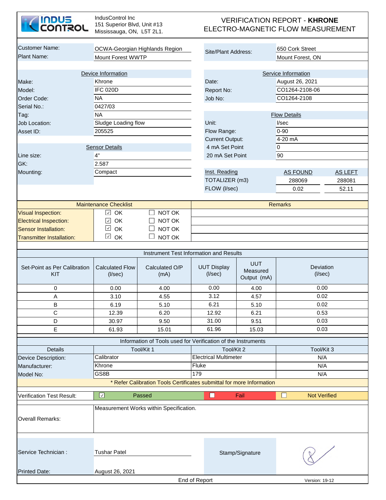| <b>Customer Name:</b><br>650 Cork Street<br>OCWA-Georgian Highlands Region<br>Site/Plant Address:<br><b>Mount Forest WWTP</b><br>Mount Forest, ON<br>Device Information<br>Service Information<br>Khrone<br>August 26, 2021<br>Make:<br>Date:<br><b>IFC 020D</b><br>CO1264-2108-06<br>Model:<br>Report No:<br><b>NA</b><br>CO1264-2108<br>Order Code:<br>Job No:<br>0427/03<br>Serial No.:<br><b>NA</b><br><b>Flow Details</b><br>Tag:<br>Sludge Loading flow<br>Job Location:<br>Unit:<br>I/sec<br>205525<br>$0 - 90$<br>Flow Range:<br>Asset ID:<br>4-20 mA<br><b>Current Output:</b><br>4 mA Set Point<br><b>Sensor Details</b><br>0<br>4"<br>20 mA Set Point<br>90<br>Line size:<br>GK:<br>2.587<br>Inst. Reading<br><b>AS FOUND</b><br>Mounting:<br>Compact<br><b>AS LEFT</b><br>TOTALIZER (m3)<br>288069<br>288081<br>FLOW (I/sec)<br>0.02<br>52.11<br><b>Maintenance Checklist</b><br><b>Remarks</b><br>$\sqrt{2}$ OK<br>NOT OK<br><b>Visual Inspection:</b><br>OK<br>NOT OK<br><b>Electrical Inspection:</b><br>$\checkmark$<br>$\checkmark$<br>OK<br>NOT OK<br><b>Sensor Installation:</b><br>$\checkmark$<br>OK<br>NOT OK<br><b>Transmitter Installation:</b><br>Instrument Test Information and Results<br><b>UUT</b><br><b>UUT Display</b><br>Set-Point as Per Calibration<br><b>Calculated Flow</b><br>Calculated O/P<br>Deviation<br>Measured<br>(I/sec)<br>KIT<br>(I/sec)<br>(mA)<br>$($ l/sec $)$<br>Output (mA)<br>0.00<br>0<br>0.00<br>0.00<br>4.00<br>4.00<br>4.57<br>4.55<br>$\boldsymbol{\mathsf{A}}$<br>3.10<br>0.02<br>3.12<br>B<br>6.21<br>6.19<br>5.10<br>5.10<br>0.02<br>$\mathsf{C}$<br>12.92<br>0.53<br>12.39<br>6.20<br>6.21<br>31.00<br>9.51<br>0.03<br>D<br>30.97<br>9.50<br>E<br>61.96<br>0.03<br>61.93<br>15.01<br>15.03<br>Information of Tools used for Verification of the Instruments<br>Tool/Kit 1<br>Tool/Kit 2<br>Tool/Kit 3<br><b>Details</b><br><b>Electrical Multimeter</b><br>Calibrator<br>N/A<br>Device Description:<br>Khrone<br>Fluke<br>N/A<br>Manufacturer:<br>GS8B<br>179<br>N/A<br>Model No:<br>* Refer Calibration Tools Certificates submittal for more Information<br>$\Box$<br>$\boxed{\mathcal{S}}$<br>Fail<br>Passed<br><b>Not Verified</b><br><b>Verification Test Result:</b><br>U<br>Measurement Works within Specification.<br><b>Overall Remarks:</b><br>Service Technician :<br><b>Tushar Patel</b><br>Stamp/Signature<br>August 26, 2021<br>End of Report<br>Version: 19-12 | <b>INDUS<br/>CONTROL</b> | IndusControl Inc<br>151 Superior Blvd, Unit #13<br>Mississauga, ON, L5T 2L1. |  |  | <b>VERIFICATION REPORT - KHRONE</b><br>ELECTRO-MAGNETIC FLOW MEASUREMENT |  |
|----------------------------------------------------------------------------------------------------------------------------------------------------------------------------------------------------------------------------------------------------------------------------------------------------------------------------------------------------------------------------------------------------------------------------------------------------------------------------------------------------------------------------------------------------------------------------------------------------------------------------------------------------------------------------------------------------------------------------------------------------------------------------------------------------------------------------------------------------------------------------------------------------------------------------------------------------------------------------------------------------------------------------------------------------------------------------------------------------------------------------------------------------------------------------------------------------------------------------------------------------------------------------------------------------------------------------------------------------------------------------------------------------------------------------------------------------------------------------------------------------------------------------------------------------------------------------------------------------------------------------------------------------------------------------------------------------------------------------------------------------------------------------------------------------------------------------------------------------------------------------------------------------------------------------------------------------------------------------------------------------------------------------------------------------------------------------------------------------------------------------------------------------------------------------------------------------------------------------------------------------------------------------------------------------------------------------------------------------------------------------------------------------------------------------------------------|--------------------------|------------------------------------------------------------------------------|--|--|--------------------------------------------------------------------------|--|
|                                                                                                                                                                                                                                                                                                                                                                                                                                                                                                                                                                                                                                                                                                                                                                                                                                                                                                                                                                                                                                                                                                                                                                                                                                                                                                                                                                                                                                                                                                                                                                                                                                                                                                                                                                                                                                                                                                                                                                                                                                                                                                                                                                                                                                                                                                                                                                                                                                              |                          |                                                                              |  |  |                                                                          |  |
|                                                                                                                                                                                                                                                                                                                                                                                                                                                                                                                                                                                                                                                                                                                                                                                                                                                                                                                                                                                                                                                                                                                                                                                                                                                                                                                                                                                                                                                                                                                                                                                                                                                                                                                                                                                                                                                                                                                                                                                                                                                                                                                                                                                                                                                                                                                                                                                                                                              | Plant Name:              |                                                                              |  |  |                                                                          |  |
|                                                                                                                                                                                                                                                                                                                                                                                                                                                                                                                                                                                                                                                                                                                                                                                                                                                                                                                                                                                                                                                                                                                                                                                                                                                                                                                                                                                                                                                                                                                                                                                                                                                                                                                                                                                                                                                                                                                                                                                                                                                                                                                                                                                                                                                                                                                                                                                                                                              |                          |                                                                              |  |  |                                                                          |  |
|                                                                                                                                                                                                                                                                                                                                                                                                                                                                                                                                                                                                                                                                                                                                                                                                                                                                                                                                                                                                                                                                                                                                                                                                                                                                                                                                                                                                                                                                                                                                                                                                                                                                                                                                                                                                                                                                                                                                                                                                                                                                                                                                                                                                                                                                                                                                                                                                                                              |                          |                                                                              |  |  |                                                                          |  |
|                                                                                                                                                                                                                                                                                                                                                                                                                                                                                                                                                                                                                                                                                                                                                                                                                                                                                                                                                                                                                                                                                                                                                                                                                                                                                                                                                                                                                                                                                                                                                                                                                                                                                                                                                                                                                                                                                                                                                                                                                                                                                                                                                                                                                                                                                                                                                                                                                                              |                          |                                                                              |  |  |                                                                          |  |
|                                                                                                                                                                                                                                                                                                                                                                                                                                                                                                                                                                                                                                                                                                                                                                                                                                                                                                                                                                                                                                                                                                                                                                                                                                                                                                                                                                                                                                                                                                                                                                                                                                                                                                                                                                                                                                                                                                                                                                                                                                                                                                                                                                                                                                                                                                                                                                                                                                              |                          |                                                                              |  |  |                                                                          |  |
|                                                                                                                                                                                                                                                                                                                                                                                                                                                                                                                                                                                                                                                                                                                                                                                                                                                                                                                                                                                                                                                                                                                                                                                                                                                                                                                                                                                                                                                                                                                                                                                                                                                                                                                                                                                                                                                                                                                                                                                                                                                                                                                                                                                                                                                                                                                                                                                                                                              |                          |                                                                              |  |  |                                                                          |  |
|                                                                                                                                                                                                                                                                                                                                                                                                                                                                                                                                                                                                                                                                                                                                                                                                                                                                                                                                                                                                                                                                                                                                                                                                                                                                                                                                                                                                                                                                                                                                                                                                                                                                                                                                                                                                                                                                                                                                                                                                                                                                                                                                                                                                                                                                                                                                                                                                                                              |                          |                                                                              |  |  |                                                                          |  |
|                                                                                                                                                                                                                                                                                                                                                                                                                                                                                                                                                                                                                                                                                                                                                                                                                                                                                                                                                                                                                                                                                                                                                                                                                                                                                                                                                                                                                                                                                                                                                                                                                                                                                                                                                                                                                                                                                                                                                                                                                                                                                                                                                                                                                                                                                                                                                                                                                                              |                          |                                                                              |  |  |                                                                          |  |
|                                                                                                                                                                                                                                                                                                                                                                                                                                                                                                                                                                                                                                                                                                                                                                                                                                                                                                                                                                                                                                                                                                                                                                                                                                                                                                                                                                                                                                                                                                                                                                                                                                                                                                                                                                                                                                                                                                                                                                                                                                                                                                                                                                                                                                                                                                                                                                                                                                              |                          |                                                                              |  |  |                                                                          |  |
|                                                                                                                                                                                                                                                                                                                                                                                                                                                                                                                                                                                                                                                                                                                                                                                                                                                                                                                                                                                                                                                                                                                                                                                                                                                                                                                                                                                                                                                                                                                                                                                                                                                                                                                                                                                                                                                                                                                                                                                                                                                                                                                                                                                                                                                                                                                                                                                                                                              |                          |                                                                              |  |  |                                                                          |  |
|                                                                                                                                                                                                                                                                                                                                                                                                                                                                                                                                                                                                                                                                                                                                                                                                                                                                                                                                                                                                                                                                                                                                                                                                                                                                                                                                                                                                                                                                                                                                                                                                                                                                                                                                                                                                                                                                                                                                                                                                                                                                                                                                                                                                                                                                                                                                                                                                                                              |                          |                                                                              |  |  |                                                                          |  |
|                                                                                                                                                                                                                                                                                                                                                                                                                                                                                                                                                                                                                                                                                                                                                                                                                                                                                                                                                                                                                                                                                                                                                                                                                                                                                                                                                                                                                                                                                                                                                                                                                                                                                                                                                                                                                                                                                                                                                                                                                                                                                                                                                                                                                                                                                                                                                                                                                                              |                          |                                                                              |  |  |                                                                          |  |
|                                                                                                                                                                                                                                                                                                                                                                                                                                                                                                                                                                                                                                                                                                                                                                                                                                                                                                                                                                                                                                                                                                                                                                                                                                                                                                                                                                                                                                                                                                                                                                                                                                                                                                                                                                                                                                                                                                                                                                                                                                                                                                                                                                                                                                                                                                                                                                                                                                              |                          |                                                                              |  |  |                                                                          |  |
|                                                                                                                                                                                                                                                                                                                                                                                                                                                                                                                                                                                                                                                                                                                                                                                                                                                                                                                                                                                                                                                                                                                                                                                                                                                                                                                                                                                                                                                                                                                                                                                                                                                                                                                                                                                                                                                                                                                                                                                                                                                                                                                                                                                                                                                                                                                                                                                                                                              |                          |                                                                              |  |  |                                                                          |  |
|                                                                                                                                                                                                                                                                                                                                                                                                                                                                                                                                                                                                                                                                                                                                                                                                                                                                                                                                                                                                                                                                                                                                                                                                                                                                                                                                                                                                                                                                                                                                                                                                                                                                                                                                                                                                                                                                                                                                                                                                                                                                                                                                                                                                                                                                                                                                                                                                                                              |                          |                                                                              |  |  |                                                                          |  |
|                                                                                                                                                                                                                                                                                                                                                                                                                                                                                                                                                                                                                                                                                                                                                                                                                                                                                                                                                                                                                                                                                                                                                                                                                                                                                                                                                                                                                                                                                                                                                                                                                                                                                                                                                                                                                                                                                                                                                                                                                                                                                                                                                                                                                                                                                                                                                                                                                                              |                          |                                                                              |  |  |                                                                          |  |
|                                                                                                                                                                                                                                                                                                                                                                                                                                                                                                                                                                                                                                                                                                                                                                                                                                                                                                                                                                                                                                                                                                                                                                                                                                                                                                                                                                                                                                                                                                                                                                                                                                                                                                                                                                                                                                                                                                                                                                                                                                                                                                                                                                                                                                                                                                                                                                                                                                              |                          |                                                                              |  |  |                                                                          |  |
|                                                                                                                                                                                                                                                                                                                                                                                                                                                                                                                                                                                                                                                                                                                                                                                                                                                                                                                                                                                                                                                                                                                                                                                                                                                                                                                                                                                                                                                                                                                                                                                                                                                                                                                                                                                                                                                                                                                                                                                                                                                                                                                                                                                                                                                                                                                                                                                                                                              |                          |                                                                              |  |  |                                                                          |  |
|                                                                                                                                                                                                                                                                                                                                                                                                                                                                                                                                                                                                                                                                                                                                                                                                                                                                                                                                                                                                                                                                                                                                                                                                                                                                                                                                                                                                                                                                                                                                                                                                                                                                                                                                                                                                                                                                                                                                                                                                                                                                                                                                                                                                                                                                                                                                                                                                                                              |                          |                                                                              |  |  |                                                                          |  |
|                                                                                                                                                                                                                                                                                                                                                                                                                                                                                                                                                                                                                                                                                                                                                                                                                                                                                                                                                                                                                                                                                                                                                                                                                                                                                                                                                                                                                                                                                                                                                                                                                                                                                                                                                                                                                                                                                                                                                                                                                                                                                                                                                                                                                                                                                                                                                                                                                                              |                          |                                                                              |  |  |                                                                          |  |
|                                                                                                                                                                                                                                                                                                                                                                                                                                                                                                                                                                                                                                                                                                                                                                                                                                                                                                                                                                                                                                                                                                                                                                                                                                                                                                                                                                                                                                                                                                                                                                                                                                                                                                                                                                                                                                                                                                                                                                                                                                                                                                                                                                                                                                                                                                                                                                                                                                              |                          |                                                                              |  |  |                                                                          |  |
|                                                                                                                                                                                                                                                                                                                                                                                                                                                                                                                                                                                                                                                                                                                                                                                                                                                                                                                                                                                                                                                                                                                                                                                                                                                                                                                                                                                                                                                                                                                                                                                                                                                                                                                                                                                                                                                                                                                                                                                                                                                                                                                                                                                                                                                                                                                                                                                                                                              |                          |                                                                              |  |  |                                                                          |  |
|                                                                                                                                                                                                                                                                                                                                                                                                                                                                                                                                                                                                                                                                                                                                                                                                                                                                                                                                                                                                                                                                                                                                                                                                                                                                                                                                                                                                                                                                                                                                                                                                                                                                                                                                                                                                                                                                                                                                                                                                                                                                                                                                                                                                                                                                                                                                                                                                                                              |                          |                                                                              |  |  |                                                                          |  |
|                                                                                                                                                                                                                                                                                                                                                                                                                                                                                                                                                                                                                                                                                                                                                                                                                                                                                                                                                                                                                                                                                                                                                                                                                                                                                                                                                                                                                                                                                                                                                                                                                                                                                                                                                                                                                                                                                                                                                                                                                                                                                                                                                                                                                                                                                                                                                                                                                                              |                          |                                                                              |  |  |                                                                          |  |
|                                                                                                                                                                                                                                                                                                                                                                                                                                                                                                                                                                                                                                                                                                                                                                                                                                                                                                                                                                                                                                                                                                                                                                                                                                                                                                                                                                                                                                                                                                                                                                                                                                                                                                                                                                                                                                                                                                                                                                                                                                                                                                                                                                                                                                                                                                                                                                                                                                              |                          |                                                                              |  |  |                                                                          |  |
|                                                                                                                                                                                                                                                                                                                                                                                                                                                                                                                                                                                                                                                                                                                                                                                                                                                                                                                                                                                                                                                                                                                                                                                                                                                                                                                                                                                                                                                                                                                                                                                                                                                                                                                                                                                                                                                                                                                                                                                                                                                                                                                                                                                                                                                                                                                                                                                                                                              |                          |                                                                              |  |  |                                                                          |  |
|                                                                                                                                                                                                                                                                                                                                                                                                                                                                                                                                                                                                                                                                                                                                                                                                                                                                                                                                                                                                                                                                                                                                                                                                                                                                                                                                                                                                                                                                                                                                                                                                                                                                                                                                                                                                                                                                                                                                                                                                                                                                                                                                                                                                                                                                                                                                                                                                                                              |                          |                                                                              |  |  |                                                                          |  |
|                                                                                                                                                                                                                                                                                                                                                                                                                                                                                                                                                                                                                                                                                                                                                                                                                                                                                                                                                                                                                                                                                                                                                                                                                                                                                                                                                                                                                                                                                                                                                                                                                                                                                                                                                                                                                                                                                                                                                                                                                                                                                                                                                                                                                                                                                                                                                                                                                                              |                          |                                                                              |  |  |                                                                          |  |
|                                                                                                                                                                                                                                                                                                                                                                                                                                                                                                                                                                                                                                                                                                                                                                                                                                                                                                                                                                                                                                                                                                                                                                                                                                                                                                                                                                                                                                                                                                                                                                                                                                                                                                                                                                                                                                                                                                                                                                                                                                                                                                                                                                                                                                                                                                                                                                                                                                              |                          |                                                                              |  |  |                                                                          |  |
|                                                                                                                                                                                                                                                                                                                                                                                                                                                                                                                                                                                                                                                                                                                                                                                                                                                                                                                                                                                                                                                                                                                                                                                                                                                                                                                                                                                                                                                                                                                                                                                                                                                                                                                                                                                                                                                                                                                                                                                                                                                                                                                                                                                                                                                                                                                                                                                                                                              |                          |                                                                              |  |  |                                                                          |  |
|                                                                                                                                                                                                                                                                                                                                                                                                                                                                                                                                                                                                                                                                                                                                                                                                                                                                                                                                                                                                                                                                                                                                                                                                                                                                                                                                                                                                                                                                                                                                                                                                                                                                                                                                                                                                                                                                                                                                                                                                                                                                                                                                                                                                                                                                                                                                                                                                                                              |                          |                                                                              |  |  |                                                                          |  |
|                                                                                                                                                                                                                                                                                                                                                                                                                                                                                                                                                                                                                                                                                                                                                                                                                                                                                                                                                                                                                                                                                                                                                                                                                                                                                                                                                                                                                                                                                                                                                                                                                                                                                                                                                                                                                                                                                                                                                                                                                                                                                                                                                                                                                                                                                                                                                                                                                                              |                          |                                                                              |  |  |                                                                          |  |
|                                                                                                                                                                                                                                                                                                                                                                                                                                                                                                                                                                                                                                                                                                                                                                                                                                                                                                                                                                                                                                                                                                                                                                                                                                                                                                                                                                                                                                                                                                                                                                                                                                                                                                                                                                                                                                                                                                                                                                                                                                                                                                                                                                                                                                                                                                                                                                                                                                              |                          |                                                                              |  |  |                                                                          |  |
|                                                                                                                                                                                                                                                                                                                                                                                                                                                                                                                                                                                                                                                                                                                                                                                                                                                                                                                                                                                                                                                                                                                                                                                                                                                                                                                                                                                                                                                                                                                                                                                                                                                                                                                                                                                                                                                                                                                                                                                                                                                                                                                                                                                                                                                                                                                                                                                                                                              |                          |                                                                              |  |  |                                                                          |  |
|                                                                                                                                                                                                                                                                                                                                                                                                                                                                                                                                                                                                                                                                                                                                                                                                                                                                                                                                                                                                                                                                                                                                                                                                                                                                                                                                                                                                                                                                                                                                                                                                                                                                                                                                                                                                                                                                                                                                                                                                                                                                                                                                                                                                                                                                                                                                                                                                                                              |                          |                                                                              |  |  |                                                                          |  |
|                                                                                                                                                                                                                                                                                                                                                                                                                                                                                                                                                                                                                                                                                                                                                                                                                                                                                                                                                                                                                                                                                                                                                                                                                                                                                                                                                                                                                                                                                                                                                                                                                                                                                                                                                                                                                                                                                                                                                                                                                                                                                                                                                                                                                                                                                                                                                                                                                                              |                          |                                                                              |  |  |                                                                          |  |
|                                                                                                                                                                                                                                                                                                                                                                                                                                                                                                                                                                                                                                                                                                                                                                                                                                                                                                                                                                                                                                                                                                                                                                                                                                                                                                                                                                                                                                                                                                                                                                                                                                                                                                                                                                                                                                                                                                                                                                                                                                                                                                                                                                                                                                                                                                                                                                                                                                              |                          |                                                                              |  |  |                                                                          |  |
|                                                                                                                                                                                                                                                                                                                                                                                                                                                                                                                                                                                                                                                                                                                                                                                                                                                                                                                                                                                                                                                                                                                                                                                                                                                                                                                                                                                                                                                                                                                                                                                                                                                                                                                                                                                                                                                                                                                                                                                                                                                                                                                                                                                                                                                                                                                                                                                                                                              |                          |                                                                              |  |  |                                                                          |  |
|                                                                                                                                                                                                                                                                                                                                                                                                                                                                                                                                                                                                                                                                                                                                                                                                                                                                                                                                                                                                                                                                                                                                                                                                                                                                                                                                                                                                                                                                                                                                                                                                                                                                                                                                                                                                                                                                                                                                                                                                                                                                                                                                                                                                                                                                                                                                                                                                                                              |                          |                                                                              |  |  |                                                                          |  |
|                                                                                                                                                                                                                                                                                                                                                                                                                                                                                                                                                                                                                                                                                                                                                                                                                                                                                                                                                                                                                                                                                                                                                                                                                                                                                                                                                                                                                                                                                                                                                                                                                                                                                                                                                                                                                                                                                                                                                                                                                                                                                                                                                                                                                                                                                                                                                                                                                                              |                          |                                                                              |  |  |                                                                          |  |
|                                                                                                                                                                                                                                                                                                                                                                                                                                                                                                                                                                                                                                                                                                                                                                                                                                                                                                                                                                                                                                                                                                                                                                                                                                                                                                                                                                                                                                                                                                                                                                                                                                                                                                                                                                                                                                                                                                                                                                                                                                                                                                                                                                                                                                                                                                                                                                                                                                              |                          |                                                                              |  |  |                                                                          |  |
|                                                                                                                                                                                                                                                                                                                                                                                                                                                                                                                                                                                                                                                                                                                                                                                                                                                                                                                                                                                                                                                                                                                                                                                                                                                                                                                                                                                                                                                                                                                                                                                                                                                                                                                                                                                                                                                                                                                                                                                                                                                                                                                                                                                                                                                                                                                                                                                                                                              | <b>Printed Date:</b>     |                                                                              |  |  |                                                                          |  |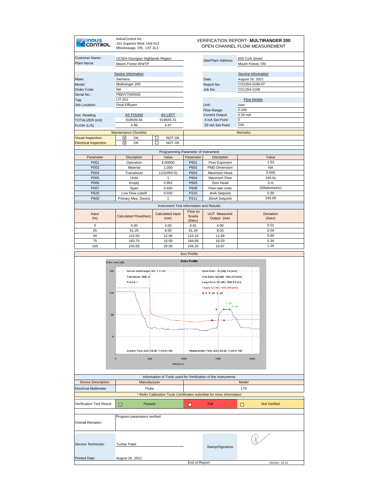| INDUS<br><b>COULSOL</b>                             | IndusControl Inc<br>151 Superior Blvd, Unit #13<br>Mississauga, ON, L5T 2L1.  |                                              |                                   | <b>VERIFICATION REPORT- MULTIRANGER 200</b><br>OPEN CHANNEL FLOW MEASUREMENT                             |                                                                         |                            |
|-----------------------------------------------------|-------------------------------------------------------------------------------|----------------------------------------------|-----------------------------------|----------------------------------------------------------------------------------------------------------|-------------------------------------------------------------------------|----------------------------|
| Customer Name:<br>Plant Name:                       | OCWA-Georgian Highlands Region<br>Mount Forest WWTP                           |                                              |                                   | Site/Plant Address:                                                                                      | 650 Cork Street<br>Mount Forest, ON                                     |                            |
| Make:<br>Model:<br>Order Code:<br>Serial No.:       | Device Information<br>Siemens<br>Multiranger 200<br><b>NA</b><br>PBD/V7040026 |                                              |                                   | Date:<br>Report No:<br>Job No:                                                                           | Service Information<br>August 26, 2021<br>CO1264-2108-07<br>CO1264-2108 |                            |
| Tag:<br><b>Job Location:</b>                        | <b>LIT-201</b><br><b>Final Effluent</b>                                       |                                              |                                   | Unit:                                                                                                    | <b>Flow Details</b><br>Vsec                                             |                            |
| Inst. Reading<br>TOTALIZER (m3)<br>FLOW (L/S)       | <b>AS FOUND</b><br>918939.94<br>4.88                                          | <b>AS LEFT</b><br>918945.31<br>4.87          |                                   | Flow Range:<br><b>Current Output:</b><br>4 mA Set Point<br>20 mA Set Point                               | $0 - 245$<br>4-20 mA<br>$\overline{0}$<br>245                           |                            |
|                                                     | <b>Maintenance Checklist</b>                                                  |                                              |                                   |                                                                                                          | <b>Remarks</b>                                                          |                            |
| Visual Inspection:<br><b>Electrical Inspection:</b> | ☑<br>OK<br>⊽<br>OK                                                            | NOT OK<br>□<br>П<br>NOT OK                   |                                   |                                                                                                          |                                                                         |                            |
|                                                     |                                                                               |                                              |                                   |                                                                                                          |                                                                         |                            |
| Parameter                                           | <b>Discription</b>                                                            | Programming Parameter of Instrument<br>Value | Parameter                         | <b>Discription</b>                                                                                       |                                                                         | Value                      |
| P001                                                | Operation                                                                     | 6.00000                                      | P601                              | Flow Exponent                                                                                            |                                                                         | 1.53                       |
| P002                                                | Material                                                                      | 1.000                                        | P602                              | <b>PMD Dimension</b>                                                                                     |                                                                         | <b>NA</b>                  |
| P004                                                | Transducer                                                                    | 112(XRS-5)                                   | P603                              | Maximum Head                                                                                             |                                                                         | 0.600                      |
| P005                                                | Units                                                                         | 1                                            | P604                              | Maximum Flow                                                                                             |                                                                         | 245 l/s                    |
| P006                                                | Empty                                                                         | 0.862                                        | P605                              | Zero Head                                                                                                |                                                                         | 0 <sub>m</sub>             |
| P007                                                | Span                                                                          | 0.600                                        | P608                              | Flow rate Units                                                                                          |                                                                         | 0(Ratiometric)             |
| P620                                                | Low Flow cuttoff                                                              | 0.030                                        | P210<br>P211                      | 4mA Setpoint                                                                                             |                                                                         | 0.00<br>245.00             |
| P600                                                | Primary Mea. Device                                                           | 1                                            |                                   | 20mA Setpoint                                                                                            |                                                                         |                            |
|                                                     |                                                                               | Instrument Test Information and Results      |                                   |                                                                                                          |                                                                         |                            |
| Input<br>(% )                                       | Calculated Flow(I/sec)                                                        | <b>Calculated Input</b><br>(mA)              | Flow on<br>Scada<br>$($ I/sec $)$ | <b>UUT Measured</b><br>Output (mA)                                                                       |                                                                         | Deviation<br>$($ I/sec $)$ |
| $\pmb{0}$                                           | 0.00                                                                          | 4.00                                         | 0.01                              | 4.00                                                                                                     |                                                                         | 0.01                       |
| 25                                                  | 61.25                                                                         | 8.00                                         | 61.29                             | 8.03                                                                                                     |                                                                         | 0.04                       |
| 50                                                  | 122.50                                                                        | 12.00                                        | 123.10                            | 11.99                                                                                                    |                                                                         | 0.60                       |
| 75                                                  | 183.75                                                                        | 16.00                                        | 184.09                            | 16.03                                                                                                    |                                                                         | 0.34                       |
| 100                                                 | 245.00                                                                        | 20.00                                        | 246.20                            | 19.97                                                                                                    |                                                                         | 1.20                       |
|                                                     |                                                                               |                                              | Eco Profile                       |                                                                                                          |                                                                         |                            |
|                                                     | Echo Level [dB]                                                               |                                              | <b>Echo Profile</b>               |                                                                                                          |                                                                         |                            |
|                                                     |                                                                               |                                              |                                   |                                                                                                          |                                                                         |                            |
| 150                                                 | Device: MultiRanger 200 1.11.00<br>Transducer: XRS 5<br>Point #: 1            |                                              |                                   | Short Echo: -30 [dB]; 0.0 [mm]<br>First Echo: 62 [dB]; 1665.373 [mm]<br>Large Echo: 62 [dB]; 1582.9 [mm] |                                                                         |                            |
| 100                                                 |                                                                               |                                              |                                   | Target: 62 [dE]; 1475.356 [mm]<br>S: 0 F: 24 L: 20                                                       |                                                                         |                            |
|                                                     |                                                                               |                                              |                                   | L: 20<br>F: 24                                                                                           |                                                                         |                            |
| 50                                                  |                                                                               |                                              |                                   |                                                                                                          |                                                                         |                            |
| $\overline{0}$                                      |                                                                               |                                              |                                   |                                                                                                          |                                                                         |                            |
|                                                     | Current Time: 2021-08-26 11:30:54 AM                                          |                                              |                                   | Measurement Time: 2021-08-26 11:30:47 AM                                                                 |                                                                         |                            |
|                                                     | $\overline{0}$<br>500                                                         | Dist.[mm]                                    | 1000                              | 1500                                                                                                     | 2000                                                                    |                            |
|                                                     |                                                                               |                                              |                                   |                                                                                                          |                                                                         |                            |
| <b>Device Description:</b>                          | Manufacturer                                                                  |                                              |                                   | Information of Tools used for Verification of the Instruments                                            | Model                                                                   |                            |
| <b>Electrical Multimeter</b>                        | Fluke                                                                         |                                              |                                   |                                                                                                          | 179                                                                     |                            |
|                                                     |                                                                               |                                              |                                   | <b>Refer Calibration Tools Certificates submittal for more Information</b>                               |                                                                         |                            |
| Verification Test Result:                           | Passed                                                                        |                                              |                                   | Fail                                                                                                     |                                                                         | <b>Not Verified</b>        |
|                                                     | ☑                                                                             |                                              | О                                 |                                                                                                          | □                                                                       |                            |
| Overall Remarks:                                    | Program parameters verified                                                   |                                              |                                   |                                                                                                          |                                                                         |                            |
| Service Technician :                                | <b>Tushar Patel</b>                                                           |                                              |                                   | Stamp/Signature                                                                                          |                                                                         |                            |
|                                                     |                                                                               |                                              |                                   |                                                                                                          |                                                                         |                            |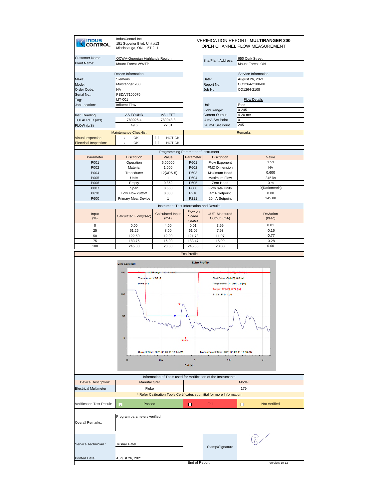| <b>INDUS</b><br>CONTROL                                                | IndusControl Inc<br>151 Superior Blvd, Unit #13<br>Mississauga, ON, L5T 2L1.                                     | <b>VERIFICATION REPORT- MULTIRANGER 200</b><br>OPEN CHANNEL FLOW MEASUREMENT   |                       |                                                                                                                                                                                                      |                                                                                                         |
|------------------------------------------------------------------------|------------------------------------------------------------------------------------------------------------------|--------------------------------------------------------------------------------|-----------------------|------------------------------------------------------------------------------------------------------------------------------------------------------------------------------------------------------|---------------------------------------------------------------------------------------------------------|
| <b>Customer Name:</b><br>Plant Name:                                   | OCWA-Georgian Highlands Region<br>Mount Forest WWTP                                                              |                                                                                |                       | Site/Plant Address:                                                                                                                                                                                  | 650 Cork Street<br>Mount Forest, ON                                                                     |
| Make:<br>Model:<br>Order Code:<br>Serial No.:<br>Tag:<br>Job Location: | Device Information<br>Siemens<br>Multiranger 200<br><b>NA</b><br>PBD/V7100076<br><b>LIT-001</b><br>Influent Flow |                                                                                |                       | Date:<br>Report No:<br>Job No:<br>Unit:                                                                                                                                                              | Service Information<br>August 26, 2021<br>CO1264-2108-08<br>CO1264-2108<br><b>Flow Details</b><br>l/sec |
| Inst. Reading<br>TOTALIZER (m3)<br>FLOW (L/S)                          | <b>AS FOUND</b><br>789026.4<br>49.6                                                                              | <b>AS LEFT</b><br>789048.8<br>27.31                                            |                       | Flow Range:<br>Current Output:<br>4 mA Set Point<br>20 mA Set Point                                                                                                                                  | $0 - 245$<br>4-20 mA<br>$\mathbf{0}$<br>245                                                             |
| <b>Visual Inspection:</b><br><b>Electrical Inspection:</b>             | <b>Maintenance Checklist</b><br>☑<br>OK<br>⊽<br>OK                                                               | □<br>NOT OK<br>П<br>NOT OK                                                     |                       |                                                                                                                                                                                                      | <b>Remarks</b>                                                                                          |
|                                                                        |                                                                                                                  | Programming Parameter of Instrument                                            |                       |                                                                                                                                                                                                      |                                                                                                         |
| Parameter                                                              | <b>Discription</b>                                                                                               | Value                                                                          | Parameter             | <b>Discription</b>                                                                                                                                                                                   | Value                                                                                                   |
| P001                                                                   | Operation                                                                                                        | 6.00000                                                                        | P601                  | Flow Exponent                                                                                                                                                                                        | 1.53                                                                                                    |
| P002                                                                   | Material                                                                                                         | 1.000                                                                          | P602                  | PMD Dimension                                                                                                                                                                                        | <b>NA</b>                                                                                               |
| P004                                                                   | Transducer                                                                                                       | 112(XRS-5)                                                                     | P603                  | Maximum Head<br>Maximum Flow                                                                                                                                                                         | 0.600<br>245 l/s                                                                                        |
| P005<br>P006                                                           | Units<br>Empty                                                                                                   | $\mathbf{1}$<br>0.862                                                          | P604<br>P605          | Zero Head                                                                                                                                                                                            | 0 <sub>m</sub>                                                                                          |
| P007                                                                   | Span                                                                                                             | 0.600                                                                          | P608                  | Flow rate Units                                                                                                                                                                                      | 0(Ratiometric)                                                                                          |
| P620                                                                   | Low Flow cuttoff                                                                                                 | 0.030                                                                          | P210                  | 4mA Setpoint                                                                                                                                                                                         | 0.00                                                                                                    |
| P600                                                                   | Primary Mea. Device                                                                                              | $\mathbf{1}$                                                                   | P211                  | 20mA Setpoint                                                                                                                                                                                        | 245.00                                                                                                  |
|                                                                        |                                                                                                                  | Instrument Test Information and Results                                        |                       |                                                                                                                                                                                                      |                                                                                                         |
| Input<br>(%)                                                           | Calculated Flow(I/sec)                                                                                           | <b>Calculated Input</b><br>(mA)                                                | Flow on<br>Scada      | <b>UUT Measured</b><br>Output (mA)                                                                                                                                                                   | Deviation<br>$($ I/sec $)$                                                                              |
| 0                                                                      | 0.00                                                                                                             | 4.00                                                                           | $($ I/sec $)$<br>0.01 | 3.99                                                                                                                                                                                                 | 0.01                                                                                                    |
| 25                                                                     | 61.25                                                                                                            | 8.00                                                                           | 61.09                 | 7.93                                                                                                                                                                                                 | $-0.16$                                                                                                 |
| 50                                                                     | 122.50                                                                                                           | 12.00                                                                          | 121.73                | 11.97                                                                                                                                                                                                | $-0.77$                                                                                                 |
| 75                                                                     | 183.75                                                                                                           | 16.00                                                                          | 183.47                | 15.99                                                                                                                                                                                                | $-0.28$                                                                                                 |
| 100                                                                    | 245.00                                                                                                           | 20.00                                                                          | 245.00                | 20.00                                                                                                                                                                                                | 0.00                                                                                                    |
|                                                                        | Echo Level [dB]<br>150<br>Transducer: XRS_5<br>Point #: 1<br>100<br>50<br>$\mathbf{0}$<br>$\mathbf 0$            | Device: MultiRanger 200 1.18.00<br>Current Time: 2021-08-26 11:17:44 AM<br>0.5 | Empty<br>Dist.[m]     | Short Echo: 77 [dB]; 0.824 [m]<br>First Echo: -30 [dB]; 0.0 [m]<br>Large Echo: - 30 [dB]; 0.0 [m]<br>Target: 77 [dE]; 0.77 [m]<br>S: 13 F: 0 L: 0<br>Measurement Time: 2021-08-26 11:17:36 AM<br>1.5 | $\overline{z}$                                                                                          |
|                                                                        |                                                                                                                  |                                                                                |                       | Information of Tools used for Verification of the Instruments                                                                                                                                        |                                                                                                         |
| <b>Device Description:</b>                                             | Manufacturer<br>Fluke                                                                                            |                                                                                |                       |                                                                                                                                                                                                      | Model                                                                                                   |
| <b>Electrical Multimeter</b>                                           |                                                                                                                  |                                                                                |                       | Refer Calibration Tools Certificates submittal for more Information                                                                                                                                  | 179                                                                                                     |
|                                                                        |                                                                                                                  |                                                                                |                       |                                                                                                                                                                                                      |                                                                                                         |
|                                                                        |                                                                                                                  |                                                                                |                       | Fail                                                                                                                                                                                                 | <b>Not Verified</b><br>□                                                                                |
| Verification Test Result:                                              | Passed<br>☑                                                                                                      |                                                                                | о                     |                                                                                                                                                                                                      |                                                                                                         |
| Overall Remarks:                                                       | Program parameters verified                                                                                      |                                                                                |                       |                                                                                                                                                                                                      |                                                                                                         |
| Service Technician :                                                   | <b>Tushar Patel</b>                                                                                              |                                                                                |                       | Stamp/Signature                                                                                                                                                                                      |                                                                                                         |
| <b>Printed Date:</b>                                                   | August 26, 2021                                                                                                  |                                                                                |                       |                                                                                                                                                                                                      |                                                                                                         |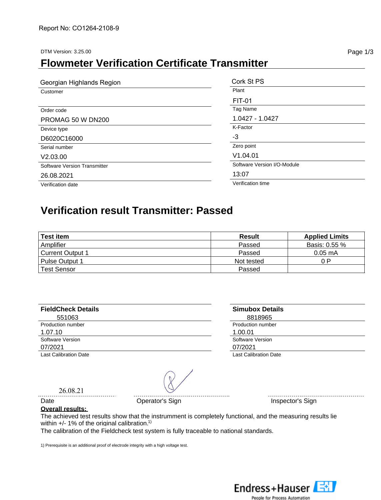DTM Version: 3.25.00 **Page 1/3** 

#### **Flowmeter Verification Certificate Transmitter**

| Georgian Highlands Region    | Cork St PS                  |
|------------------------------|-----------------------------|
| Customer                     | Plant                       |
|                              | <b>FIT-01</b>               |
| Order code                   | Tag Name                    |
| PROMAG 50 W DN200            | 1.0427 - 1.0427             |
| Device type                  | K-Factor                    |
| D6020C16000                  | -3                          |
| Serial number                | Zero point                  |
| V2.03.00                     | V1.04.01                    |
| Software Version Transmitter | Software Version I/O-Module |
| 26.08.2021                   | 13:07                       |
| Verification date            | Verification time           |

#### **Verification result Transmitter: Passed**

| <b>Test item</b>        | Result     | <b>Applied Limits</b> |
|-------------------------|------------|-----------------------|
| Amplifier               | Passed     | Basis: 0.55 %         |
| <b>Current Output 1</b> | Passed     | $0.05 \text{ mA}$     |
| <b>Pulse Output 1</b>   | Not tested | 0 P                   |
| Test Sensor             | Passed     |                       |

| <b>FieldCheck Details</b> | <b>Simubox Details</b>       |  |
|---------------------------|------------------------------|--|
| 551063                    | 8818965                      |  |
| Production number         | Production number            |  |
| 1.07.10                   | 1.00.01                      |  |
| Software Version          | Software Version             |  |
| 07/2021                   | 07/2021                      |  |
| Last Calibration Date     | <b>Last Calibration Date</b> |  |

26.08.21

Date **Date Operator's Sign Inspector's Sign** 

#### **Overall results:**

The achieved test results show that the instrumment is completely functional, and the measuring results lie within  $+/-$  1% of the original calibration.<sup>1)</sup>

The calibration of the Fieldcheck test system is fully traceable to national standards.

1) Prerequisite is an additional proof of electrode integrity with a high voltage test.

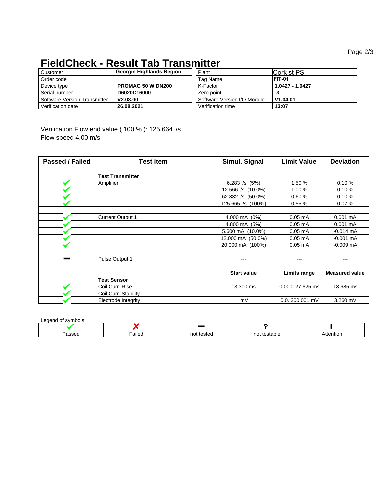#### **FieldCheck - Result Tab Transmitter**

| Customer                     | Georgin Highlands Region | Plant                       | Cork st PS      |
|------------------------------|--------------------------|-----------------------------|-----------------|
| Order code                   |                          | Tag Name                    | <b>FIT-01</b>   |
| Device type                  | <b>PROMAG 50 W DN200</b> | K-Factor                    | 1.0427 - 1.0427 |
| Serial number                | D6020C16000              | Zero point                  | -3              |
| Software Version Transmitter | V2.03.00                 | Software Version I/O-Module | V1.04.01        |
| Verification date            | 26.08.2021               | Verification time           | 13:07           |

Verification Flow end value ( 100 % ): 125.664 l/s Flow speed 4.00 m/s

| Passed / Failed | Test item                  | Simul. Signal          | <b>Limit Value</b> | <b>Deviation</b>      |
|-----------------|----------------------------|------------------------|--------------------|-----------------------|
|                 |                            |                        |                    |                       |
|                 | <b>Test Transmitter</b>    |                        |                    |                       |
|                 | Amplifier                  | 6.283 $1/s$ (5%)       | 1.50 %             | 0.10%                 |
|                 |                            | 12.566 l/s (10.0%)     | 1.00 %             | 0.10%                 |
|                 |                            | 62.832 l/s (50.0%)     | 0.60%              | 0.10%                 |
|                 |                            | 125.665 l/s (100%)     | 0.55%              | 0.07%                 |
|                 |                            |                        |                    |                       |
|                 | <b>Current Output 1</b>    | 4.000 mA (0%)          | $0.05$ mA          | $0.001$ mA            |
|                 |                            | 4.800 mA (5%)          | $0.05$ mA          | $0.001 \text{ mA}$    |
|                 |                            | 5.600 mA (10.0%)       | $0.05$ mA          | $-0.014$ mA           |
|                 |                            | 12.000 mA (50.0%)      | $0.05$ mA          | $-0.001$ mA           |
|                 |                            | 20.000 mA (100%)       | $0.05$ mA          | $-0.009$ mA           |
|                 |                            |                        |                    |                       |
|                 | Pulse Output 1             | $\qquad \qquad \cdots$ | ---                | ---                   |
|                 |                            |                        |                    |                       |
|                 |                            | <b>Start value</b>     | Limits range       | <b>Measured value</b> |
|                 | <b>Test Sensor</b>         |                        |                    |                       |
|                 | Coil Curr, Rise            | 13.300 ms              | 0.00027.625 ms     | 18.685 ms             |
|                 | Coil Curr. Stability       |                        | ---                | ---                   |
|                 | <b>Electrode Integrity</b> | mV                     | $0.0300.001$ mV    | 3.260 mV              |

Legend of symbols

| --------------------- |        |               |             |        |
|-----------------------|--------|---------------|-------------|--------|
|                       |        |               |             |        |
| 10000<br>assec        | Failed | tested<br>not | not testab' | ention |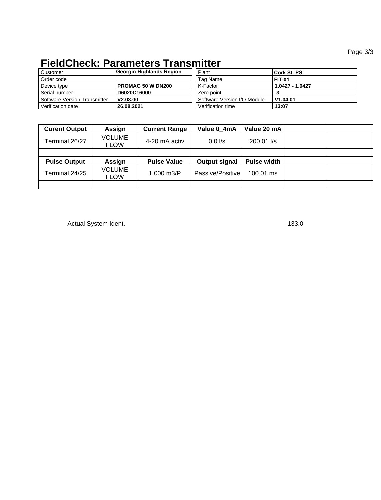#### **FieldCheck: Parameters Transmitter**

| Customer                     | Georgin Highlands Region | Plant                       | Cork St. PS     |
|------------------------------|--------------------------|-----------------------------|-----------------|
| Order code                   |                          | Tag Name                    | <b>FIT-01</b>   |
| Device type                  | <b>PROMAG 50 W DN200</b> | K-Factor                    | 1.0427 - 1.0427 |
| Serial number                | D6020C16000              | Zero point                  | -3              |
| Software Version Transmitter | V2.03.00                 | Software Version I/O-Module | V1.04.01        |
| Verification date            | 26.08.2021               | Verification time           | 13:07           |

| <b>Curent Output</b> | Assign                       | <b>Current Range</b> | Value 0 4mA      | Value 20 mA         |  |
|----------------------|------------------------------|----------------------|------------------|---------------------|--|
| Terminal 26/27       | <b>VOLUME</b><br><b>FLOW</b> | 4-20 mA activ        | $0.0$ I/s        | $200.01$ $\sqrt{s}$ |  |
|                      |                              |                      |                  |                     |  |
| <b>Pulse Output</b>  | Assign                       | <b>Pulse Value</b>   | Output signal    | <b>Pulse width</b>  |  |
| Terminal 24/25       | <b>VOLUME</b><br><b>FLOW</b> | $1.000 \text{ m3/P}$ | Passive/Positive | 100.01 ms           |  |
|                      |                              |                      |                  |                     |  |

Actual System Ident. 133.0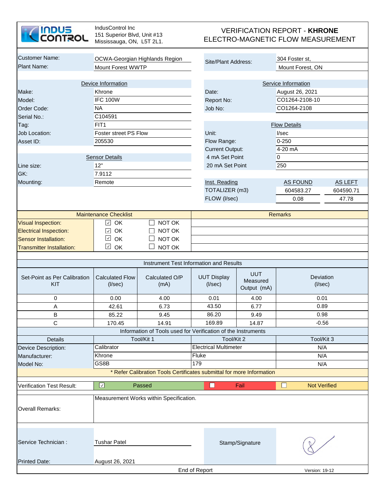

| <b>Customer Name:</b>            |                              | OCWA-Georgian Highlands Region<br>Site/Plant Address:                 |                                         | 304 Foster st,  |                     |                |
|----------------------------------|------------------------------|-----------------------------------------------------------------------|-----------------------------------------|-----------------|---------------------|----------------|
| <b>Plant Name:</b>               | Mount Forest WWTP            |                                                                       |                                         |                 | Mount Forest, ON    |                |
|                                  |                              |                                                                       |                                         |                 |                     |                |
|                                  | Device Information           |                                                                       |                                         |                 | Service Information |                |
| Make:                            | Khrone                       |                                                                       | Date:                                   |                 | August 26, 2021     |                |
| Model:                           | <b>IFC 100W</b>              |                                                                       | Report No:                              |                 | CO1264-2108-10      |                |
| Order Code:                      | <b>NA</b>                    |                                                                       | Job No:                                 |                 | CO1264-2108         |                |
| Serial No.:                      | C104591                      |                                                                       |                                         |                 |                     |                |
| Tag:                             | FIT <sub>1</sub>             |                                                                       |                                         |                 | <b>Flow Details</b> |                |
| Job Location:                    | Foster street PS Flow        |                                                                       | Unit:                                   |                 | I/sec               |                |
| Asset ID:                        | 205530                       |                                                                       | Flow Range:                             |                 | $0 - 250$           |                |
|                                  |                              |                                                                       | <b>Current Output:</b>                  |                 | 4-20 mA             |                |
|                                  | <b>Sensor Details</b>        |                                                                       | 4 mA Set Point                          |                 | $\overline{0}$      |                |
| Line size:                       | 12"                          |                                                                       | 20 mA Set Point                         |                 | 250                 |                |
|                                  | 7.9112                       |                                                                       |                                         |                 |                     |                |
| GK:                              |                              |                                                                       |                                         |                 |                     |                |
| Mounting:                        | Remote                       |                                                                       | Inst. Reading                           |                 | AS FOUND            | <b>AS LEFT</b> |
|                                  |                              |                                                                       | TOTALIZER (m3)                          |                 | 604583.27           | 604590.71      |
|                                  |                              |                                                                       | FLOW (I/sec)                            |                 | 0.08                | 47.78          |
|                                  |                              |                                                                       |                                         |                 |                     |                |
|                                  | <b>Maintenance Checklist</b> |                                                                       |                                         |                 | <b>Remarks</b>      |                |
| <b>Visual Inspection:</b>        | $\checkmark$<br>OK           | NOT OK                                                                |                                         |                 |                     |                |
| <b>Electrical Inspection:</b>    | OK<br>$\checkmark$           | NOT OK                                                                |                                         |                 |                     |                |
| <b>Sensor Installation:</b>      | $\checkmark$<br>OK           | NOT OK                                                                |                                         |                 |                     |                |
| <b>Transmitter Installation:</b> | $\checkmark$<br>OK           | NOT OK                                                                |                                         |                 |                     |                |
|                                  |                              |                                                                       |                                         |                 |                     |                |
|                                  |                              |                                                                       | Instrument Test Information and Results |                 |                     |                |
|                                  |                              |                                                                       |                                         | <b>UUT</b>      |                     |                |
| Set-Point as Per Calibration     | <b>Calculated Flow</b>       | Calculated O/P                                                        | <b>UUT Display</b>                      | Measured        | Deviation           |                |
| KIT                              | $($ l/sec $)$                | (mA)                                                                  | $($ l/sec $)$                           | Output (mA)     | $($ l/sec $)$       |                |
| 0                                | 0.00                         | 4.00                                                                  | 0.01                                    | 4.00            | 0.01                |                |
| A                                | 42.61                        | 6.73                                                                  | 43.50                                   | 6.77            | 0.89                |                |
| $\sf B$                          | 85.22                        |                                                                       | 86.20                                   |                 | 0.98                |                |
|                                  |                              | 9.45                                                                  |                                         | 9.49            |                     |                |
| $\mathbf C$                      | 170.45                       | 14.91                                                                 | 169.89                                  | 14.87           | $-0.56$             |                |
|                                  |                              | Information of Tools used for Verification of the Instruments         |                                         |                 |                     |                |
| <b>Details</b>                   |                              | Tool/Kit 1                                                            | Tool/Kit 2                              |                 | Tool/Kit 3          |                |
| Device Description:              | Calibrator                   |                                                                       | <b>Electrical Multimeter</b>            |                 | N/A                 |                |
| Manufacturer:                    | Khrone                       |                                                                       | Fluke                                   |                 | N/A                 |                |
| Model No:                        | GS8B                         |                                                                       | 179                                     |                 | N/A                 |                |
|                                  |                              | * Refer Calibration Tools Certificates submittal for more Information |                                         |                 |                     |                |
| <b>Verification Test Result:</b> | $\overline{\mathcal{L}}$     | Passed                                                                | $\Box$                                  | Fail            | <b>Not Verified</b> |                |
|                                  |                              | Measurement Works within Specification.                               |                                         |                 |                     |                |
|                                  |                              |                                                                       |                                         |                 |                     |                |
| <b>Overall Remarks:</b>          |                              |                                                                       |                                         |                 |                     |                |
|                                  |                              |                                                                       |                                         |                 |                     |                |
|                                  |                              |                                                                       |                                         |                 |                     |                |
|                                  |                              |                                                                       |                                         |                 |                     |                |
| Service Technician :             | <b>Tushar Patel</b>          |                                                                       |                                         | Stamp/Signature |                     |                |
|                                  |                              |                                                                       |                                         |                 |                     |                |
| <b>Printed Date:</b>             | August 26, 2021              |                                                                       |                                         |                 |                     |                |
|                                  |                              |                                                                       | End of Report                           |                 | Version: 19-12      |                |
|                                  |                              |                                                                       |                                         |                 |                     |                |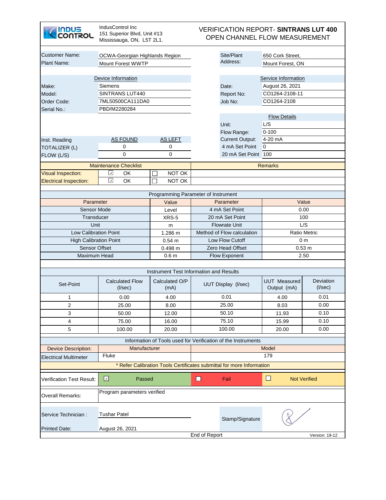| <b>INDUS<br/>CONTROL</b>                     | IndusControl Inc.<br>151 Superior Blvd, Unit #13<br>Mississauga, ON, L5T 2L1. | <b>VERIFICATION REPORT- SINTRANS LUT 400</b><br>OPEN CHANNEL FLOW MEASUREMENT |                            |                                                                       |                                    |                                   |  |  |
|----------------------------------------------|-------------------------------------------------------------------------------|-------------------------------------------------------------------------------|----------------------------|-----------------------------------------------------------------------|------------------------------------|-----------------------------------|--|--|
| <b>Customer Name:</b>                        | OCWA-Georgian Highlands Region                                                |                                                                               | Site/Plant                 | 650 Cork Street,                                                      |                                    |                                   |  |  |
| <b>Plant Name:</b>                           | <b>Mount Forest WWTP</b>                                                      |                                                                               |                            | Address:                                                              | Mount Forest, ON                   |                                   |  |  |
|                                              |                                                                               |                                                                               |                            |                                                                       |                                    |                                   |  |  |
|                                              | Device Information                                                            |                                                                               |                            |                                                                       | Service Information                |                                   |  |  |
| Make:                                        | Siemens                                                                       |                                                                               | Date:                      | August 26, 2021                                                       |                                    |                                   |  |  |
| Model:                                       | SINTRANS LUT440                                                               |                                                                               |                            | <b>Report No:</b>                                                     | CO1264-2108-11                     |                                   |  |  |
| Order Code:                                  | 7ML50500CA111DA0                                                              |                                                                               | Job No:                    | CO1264-2108                                                           |                                    |                                   |  |  |
| Serial No.:                                  | PBD/M2280284                                                                  |                                                                               |                            |                                                                       |                                    |                                   |  |  |
|                                              |                                                                               |                                                                               |                            | Unit:                                                                 | <b>Flow Details</b><br>L/S         |                                   |  |  |
|                                              |                                                                               |                                                                               |                            | Flow Range:                                                           | $0 - 100$                          |                                   |  |  |
| Inst. Reading                                | <b>AS FOUND</b>                                                               | <b>AS LEFT</b>                                                                |                            | <b>Current Output:</b>                                                | 4-20 mA                            |                                   |  |  |
| TOTALIZER (L)                                | 0                                                                             | 0                                                                             |                            | 4 mA Set Point                                                        | $\overline{0}$                     |                                   |  |  |
| FLOW (L/S)                                   | $\Omega$                                                                      | 0                                                                             |                            | 20 mA Set Point                                                       | 100                                |                                   |  |  |
|                                              |                                                                               |                                                                               |                            |                                                                       |                                    |                                   |  |  |
|                                              | <b>Maintenance Checklist</b>                                                  |                                                                               | <b>Remarks</b>             |                                                                       |                                    |                                   |  |  |
| <b>Visual Inspection:</b>                    | $\boldsymbol{\zeta}$<br>OK<br>$\checkmark$                                    | NOT OK                                                                        |                            |                                                                       |                                    |                                   |  |  |
| <b>Electrical Inspection:</b>                | OK                                                                            | NOT OK<br>П                                                                   |                            |                                                                       |                                    |                                   |  |  |
|                                              |                                                                               | Programming Parameter of Instrument                                           |                            |                                                                       |                                    |                                   |  |  |
| Parameter                                    |                                                                               | Value                                                                         | Parameter                  |                                                                       | Value                              |                                   |  |  |
| <b>Sensor Mode</b>                           |                                                                               | Level                                                                         | 4 mA Set Point             |                                                                       | 0.00                               |                                   |  |  |
| Transducer                                   |                                                                               | XRS-5                                                                         | 20 mA Set Point            |                                                                       | 100                                |                                   |  |  |
| Unit                                         |                                                                               | m                                                                             | <b>Flowrate Unit</b>       |                                                                       | L/S                                |                                   |  |  |
| <b>Low Calibration Point</b>                 |                                                                               | 1.286 m                                                                       | Method of Flow calculation |                                                                       | <b>Ratio Metric</b>                |                                   |  |  |
| <b>High Calibration Point</b>                |                                                                               | 0.54 m                                                                        | Low Flow Cutoff            |                                                                       | 0 <sub>m</sub>                     |                                   |  |  |
| <b>Sensor Offset</b>                         |                                                                               | 0.498 m                                                                       | <b>Zero Head Offset</b>    |                                                                       | 0.53 m                             |                                   |  |  |
| Maximum Head                                 |                                                                               | 0.6 <sub>m</sub>                                                              | <b>Flow Exponent</b>       |                                                                       | 2.50                               |                                   |  |  |
|                                              |                                                                               | Instrument Test Information and Results                                       |                            |                                                                       |                                    |                                   |  |  |
| Set-Point                                    | <b>Calculated Flow</b><br>$($ l/sec $)$                                       | Calculated O/P<br>(mA)                                                        |                            | <b>UUT Display (I/sec)</b>                                            | <b>UUT</b> Measured<br>Output (mA) | <b>Deviation</b><br>$($ l/sec $)$ |  |  |
| 1                                            | 0.00                                                                          | 4.00                                                                          |                            | 0.01                                                                  | 4.00                               | 0.01                              |  |  |
| $\overline{2}$                               | 25.00                                                                         | 8.00                                                                          | 25.00                      |                                                                       | 8.03                               | 0.00                              |  |  |
| 3                                            | 50.00                                                                         | 12.00                                                                         | 50.10                      |                                                                       | 11.93                              | 0.10                              |  |  |
| 4                                            | 75.00                                                                         | 16.00                                                                         | 75.10                      |                                                                       | 15.99                              | 0.10                              |  |  |
| 5                                            | 100.00                                                                        | 20.00                                                                         | 100.00                     |                                                                       | 20.00                              | 0.00                              |  |  |
|                                              |                                                                               |                                                                               |                            | Information of Tools used for Verification of the Instruments         |                                    |                                   |  |  |
| <b>Device Description:</b>                   | Manufacturer                                                                  |                                                                               | Model                      |                                                                       |                                    |                                   |  |  |
| Fluke<br>179<br><b>Electrical Multimeter</b> |                                                                               |                                                                               |                            |                                                                       |                                    |                                   |  |  |
|                                              |                                                                               |                                                                               |                            | * Refer Calibration Tools Certificates submittal for more Information |                                    |                                   |  |  |
| <b>Verification Test Result:</b>             | $\Box$<br>Passed                                                              |                                                                               | O                          | Fail                                                                  | $\Box$<br><b>Not Verified</b>      |                                   |  |  |
| <b>Overall Remarks:</b>                      | Program parameters verified                                                   |                                                                               |                            |                                                                       |                                    |                                   |  |  |
| Service Technician :                         | <b>Tushar Patel</b>                                                           | Stamp/Signature                                                               |                            |                                                                       |                                    |                                   |  |  |
| <b>Printed Date:</b>                         | August 26, 2021                                                               |                                                                               |                            |                                                                       |                                    |                                   |  |  |
|                                              |                                                                               |                                                                               | End of Report              |                                                                       |                                    | Version: 19-12                    |  |  |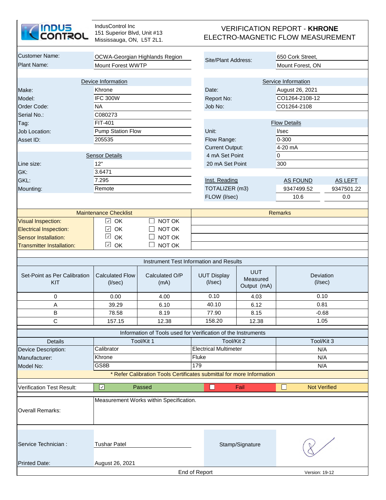

| <b>Customer Name:</b>                       |                                 |                                                                       |                              |             |                               |                |  |
|---------------------------------------------|---------------------------------|-----------------------------------------------------------------------|------------------------------|-------------|-------------------------------|----------------|--|
| <b>Plant Name:</b>                          | OCWA-Georgian Highlands Region  |                                                                       | Site/Plant Address:          |             | 650 Cork Street,              |                |  |
|                                             | <b>Mount Forest WWTP</b>        |                                                                       |                              |             | Mount Forest, ON              |                |  |
|                                             |                                 |                                                                       |                              |             |                               |                |  |
|                                             | Device Information              |                                                                       |                              |             | Service Information           |                |  |
| Make:                                       | Khrone                          |                                                                       | Date:                        |             | August 26, 2021               |                |  |
| Model:                                      | <b>IFC 300W</b>                 |                                                                       | Report No:                   |             | CO1264-2108-12                |                |  |
| Order Code:                                 | <b>NA</b>                       |                                                                       | Job No:                      |             | CO1264-2108                   |                |  |
| Serial No.:                                 | C080273                         |                                                                       |                              |             |                               |                |  |
| Tag:                                        | FIT-401                         |                                                                       |                              |             | <b>Flow Details</b>           |                |  |
| Job Location:                               | Pump Station Flow               |                                                                       | Unit:                        |             | I/sec                         |                |  |
| Asset ID:                                   | 205535                          |                                                                       | Flow Range:                  |             | 0-300                         |                |  |
|                                             |                                 |                                                                       | <b>Current Output:</b>       |             | 4-20 mA                       |                |  |
| <b>Sensor Details</b>                       |                                 |                                                                       | 4 mA Set Point               |             | $\overline{0}$                |                |  |
| Line size:                                  | 12"                             |                                                                       | 20 mA Set Point              |             | 300                           |                |  |
| GK:                                         | 3.6471                          |                                                                       |                              |             |                               |                |  |
| GKL:                                        | 7.295                           |                                                                       | Inst. Reading                |             | <b>AS FOUND</b>               | <b>AS LEFT</b> |  |
| Mounting:                                   | Remote                          |                                                                       | TOTALIZER (m3)               |             | 9347499.52                    | 9347501.22     |  |
|                                             |                                 |                                                                       | FLOW (I/sec)                 |             | 10.6                          | 0.0            |  |
|                                             |                                 |                                                                       |                              |             |                               |                |  |
|                                             | <b>Maintenance Checklist</b>    |                                                                       |                              |             | <b>Remarks</b>                |                |  |
| <b>Visual Inspection:</b>                   | OK<br>$\checkmark$              | NOT OK                                                                |                              |             |                               |                |  |
| <b>Electrical Inspection:</b>               | OK<br>$\overline{\zeta}$        | NOT OK                                                                |                              |             |                               |                |  |
| <b>Sensor Installation:</b>                 | $\checkmark$<br>OK<br>NOT OK    |                                                                       |                              |             |                               |                |  |
| <b>Transmitter Installation:</b>            | $\checkmark$<br>OK              | NOT OK                                                                |                              |             |                               |                |  |
|                                             |                                 |                                                                       |                              |             |                               |                |  |
|                                             |                                 | Instrument Test Information and Results                               |                              |             |                               |                |  |
| Set-Point as Per Calibration                | <b>Calculated Flow</b>          | Calculated O/P                                                        | <b>UUT Display</b>           | <b>UUT</b>  | Deviation<br>$($ l/sec $)$    |                |  |
| KIT                                         | $($ l/sec $)$                   | (mA)                                                                  | $($ l/sec $)$                | Measured    |                               |                |  |
|                                             |                                 |                                                                       |                              | Output (mA) |                               |                |  |
| 0                                           | 0.00                            | 4.00                                                                  | 0.10                         | 4.03        | 0.10                          |                |  |
| А                                           | 39.29                           | 6.10                                                                  | 40.10                        | 6.12        | 0.81                          |                |  |
| В                                           | 78.58                           | 8.19                                                                  | 77.90                        | 8.15        |                               | $-0.68$        |  |
| C                                           | 157.15                          | 12.38                                                                 | 158.20                       | 12.38       | 1.05                          |                |  |
|                                             |                                 | Information of Tools used for Verification of the Instruments         |                              |             |                               |                |  |
| <b>Details</b>                              |                                 | Tool/Kit 1                                                            | Tool/Kit 2                   |             | Tool/Kit 3                    |                |  |
| Device Description:                         | Calibrator                      |                                                                       | <b>Electrical Multimeter</b> |             | N/A                           |                |  |
| Manufacturer:                               | Khrone                          |                                                                       | Fluke                        |             | N/A                           |                |  |
| Model No:                                   | $\overline{\text{GS}}$ 8B       |                                                                       | 179                          |             | N/A                           |                |  |
|                                             |                                 | * Refer Calibration Tools Certificates submittal for more Information |                              |             |                               |                |  |
|                                             |                                 |                                                                       |                              |             |                               |                |  |
| <b>Verification Test Result:</b>            | $\overline{\mathcal{L}}$        | Passed                                                                | $\Box$                       | Fail        | $\Box$<br><b>Not Verified</b> |                |  |
|                                             |                                 | Measurement Works within Specification.                               |                              |             |                               |                |  |
|                                             |                                 |                                                                       |                              |             |                               |                |  |
| <b>Overall Remarks:</b>                     |                                 |                                                                       |                              |             |                               |                |  |
|                                             |                                 |                                                                       |                              |             |                               |                |  |
|                                             |                                 |                                                                       |                              |             |                               |                |  |
| Service Technician :<br><b>Tushar Patel</b> |                                 |                                                                       |                              |             |                               |                |  |
|                                             |                                 |                                                                       | Stamp/Signature              |             |                               |                |  |
|                                             |                                 |                                                                       |                              |             |                               |                |  |
| <b>Printed Date:</b>                        | August 26, 2021                 |                                                                       |                              |             |                               |                |  |
|                                             | End of Report<br>Version: 19-12 |                                                                       |                              |             |                               |                |  |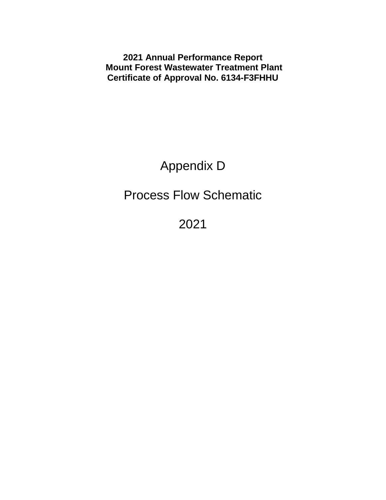**2021 Annual Performance Report Mount Forest Wastewater Treatment Plant Certificate of Approval No. 6134-F3FHHU**

Appendix D

Process Flow Schematic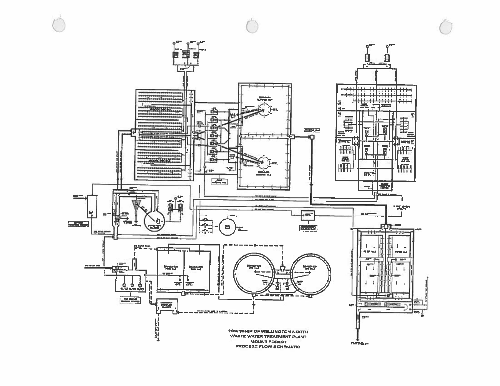